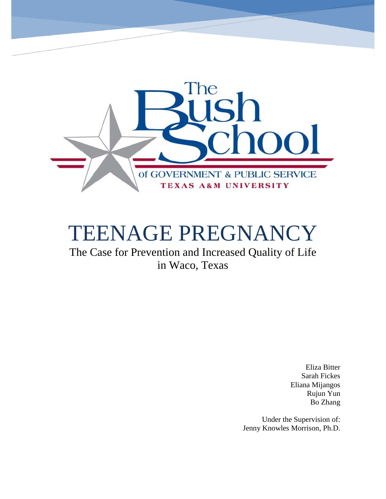

# TEENAGE PREGNANCY

The Case for Prevention and Increased Quality of Life in Waco, Texas

> Eliza Bitter Sarah Fickes Eliana Mijangos Rujun Yun Bo Zhang

Under the Supervision of: Jenny Knowles Morrison, Ph.D.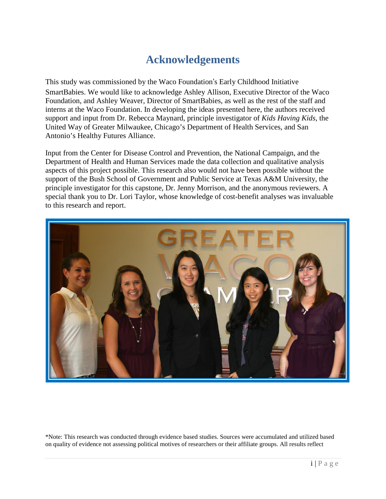# **Acknowledgements**

<span id="page-1-0"></span>This study was commissioned by the Waco Foundation's Early Childhood Initiative SmartBabies. We would like to acknowledge Ashley Allison, Executive Director of the Waco Foundation, and Ashley Weaver, Director of SmartBabies, as well as the rest of the staff and interns at the Waco Foundation. In developing the ideas presented here, the authors received support and input from Dr. Rebecca Maynard, principle investigator of *Kids Having Kids,* the United Way of Greater Milwaukee, Chicago's Department of Health Services, and San Antonio's Healthy Futures Alliance.

Input from the Center for Disease Control and Prevention, the National Campaign, and the Department of Health and Human Services made the data collection and qualitative analysis aspects of this project possible. This research also would not have been possible without the support of the Bush School of Government and Public Service at Texas A&M University, the principle investigator for this capstone, Dr. Jenny Morrison, and the anonymous reviewers. A special thank you to Dr. Lori Taylor, whose knowledge of cost-benefit analyses was invaluable to this research and report.



\*Note: This research was conducted through evidence based studies. Sources were accumulated and utilized based on quality of evidence not assessing political motives of researchers or their affiliate groups. All results reflect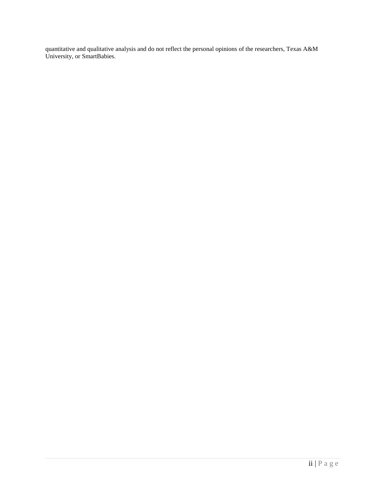quantitative and qualitative analysis and do not reflect the personal opinions of the researchers, Texas A&M University, or SmartBabies.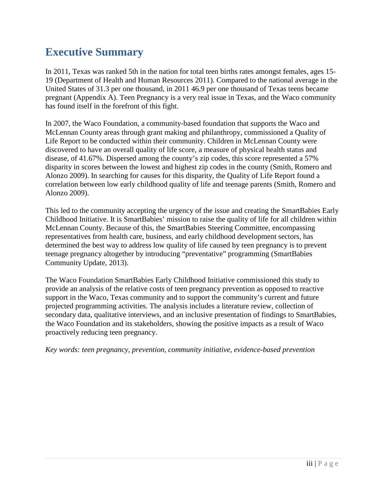# <span id="page-3-0"></span>**Executive Summary**

In 2011, Texas was ranked 5th in the nation for total teen births rates amongst females, ages 15- 19 (Department of Health and Human Resources 2011). Compared to the national average in the United States of 31.3 per one thousand, in 2011 46.9 per one thousand of Texas teens became pregnant (Appendix A). Teen Pregnancy is a very real issue in Texas, and the Waco community has found itself in the forefront of this fight.

In 2007, the Waco Foundation, a community-based foundation that supports the Waco and McLennan County areas through grant making and philanthropy, commissioned a Quality of Life Report to be conducted within their community. Children in McLennan County were discovered to have an overall quality of life score, a measure of physical health status and disease, of 41.67%. Dispersed among the county's zip codes, this score represented a 57% disparity in scores between the lowest and highest zip codes in the county (Smith, Romero and Alonzo 2009). In searching for causes for this disparity, the Quality of Life Report found a correlation between low early childhood quality of life and teenage parents (Smith, Romero and Alonzo 2009).

This led to the community accepting the urgency of the issue and creating the SmartBabies Early Childhood Initiative. It is SmartBabies' mission to raise the quality of life for all children within McLennan County. Because of this, the SmartBabies Steering Committee, encompassing representatives from health care, business, and early childhood development sectors, has determined the best way to address low quality of life caused by teen pregnancy is to prevent teenage pregnancy altogether by introducing "preventative" programming (SmartBabies Community Update, 2013).

The Waco Foundation SmartBabies Early Childhood Initiative commissioned this study to provide an analysis of the relative costs of teen pregnancy prevention as opposed to reactive support in the Waco, Texas community and to support the community's current and future projected programming activities. The analysis includes a literature review, collection of secondary data, qualitative interviews, and an inclusive presentation of findings to SmartBabies, the Waco Foundation and its stakeholders, showing the positive impacts as a result of Waco proactively reducing teen pregnancy.

*Key words: teen pregnancy, prevention, community initiative, evidence-based prevention*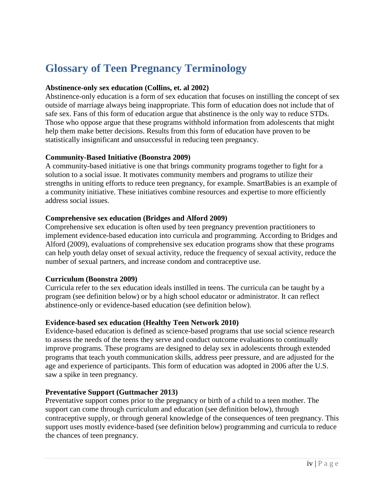# <span id="page-4-0"></span>**Glossary of Teen Pregnancy Terminology**

#### **Abstinence-only sex education (Collins, et. al 2002)**

Abstinence-only education is a form of sex education that focuses on instilling the concept of sex outside of marriage always being inappropriate. This form of education does not include that of safe sex. Fans of this form of education argue that abstinence is the only way to reduce STDs. Those who oppose argue that these programs withhold information from adolescents that might help them make better decisions. Results from this form of education have proven to be statistically insignificant and unsuccessful in reducing teen pregnancy.

#### **Community-Based Initiative (Boonstra 2009)**

A community-based initiative is one that brings community programs together to fight for a solution to a social issue. It motivates community members and programs to utilize their strengths in uniting efforts to reduce teen pregnancy, for example. SmartBabies is an example of a community initiative. These initiatives combine resources and expertise to more efficiently address social issues.

#### **Comprehensive sex education (Bridges and Alford 2009)**

Comprehensive sex education is often used by teen pregnancy prevention practitioners to implement evidence-based education into curricula and programming. According to Bridges and Alford (2009), evaluations of comprehensive sex education programs show that these programs can help youth delay onset of sexual activity, reduce the frequency of sexual activity, reduce the number of sexual partners, and increase condom and contraceptive use.

### **Curriculum (Boonstra 2009)**

Curricula refer to the sex education ideals instilled in teens. The curricula can be taught by a program (see definition below) or by a high school educator or administrator. It can reflect abstinence-only or evidence-based education (see definition below).

### **Evidence-based sex education (Healthy Teen Network 2010)**

Evidence-based education is defined as science-based programs that use social science research to assess the needs of the teens they serve and conduct outcome evaluations to continually improve programs. These programs are designed to delay sex in adolescents through extended programs that teach youth communication skills, address peer pressure, and are adjusted for the age and experience of participants. This form of education was adopted in 2006 after the U.S. saw a spike in teen pregnancy.

### **Preventative Support (Guttmacher 2013)**

Preventative support comes prior to the pregnancy or birth of a child to a teen mother. The support can come through curriculum and education (see definition below), through contraceptive supply, or through general knowledge of the consequences of teen pregnancy. This support uses mostly evidence-based (see definition below) programming and curricula to reduce the chances of teen pregnancy.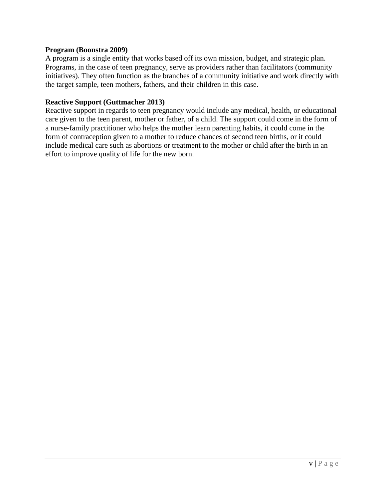#### **Program (Boonstra 2009)**

A program is a single entity that works based off its own mission, budget, and strategic plan. Programs, in the case of teen pregnancy, serve as providers rather than facilitators (community initiatives). They often function as the branches of a community initiative and work directly with the target sample, teen mothers, fathers, and their children in this case.

#### **Reactive Support (Guttmacher 2013)**

Reactive support in regards to teen pregnancy would include any medical, health, or educational care given to the teen parent, mother or father, of a child. The support could come in the form of a nurse-family practitioner who helps the mother learn parenting habits, it could come in the form of contraception given to a mother to reduce chances of second teen births, or it could include medical care such as abortions or treatment to the mother or child after the birth in an effort to improve quality of life for the new born.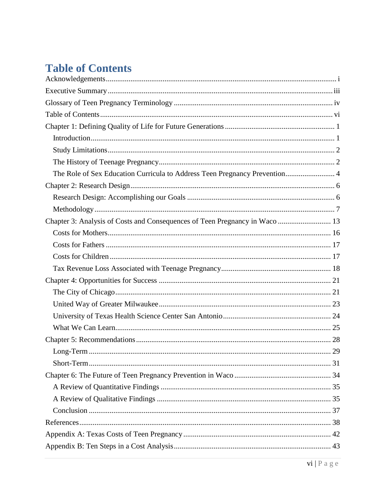# <span id="page-6-0"></span>**Table of Contents**

| The Role of Sex Education Curricula to Address Teen Pregnancy Prevention 4 |
|----------------------------------------------------------------------------|
|                                                                            |
|                                                                            |
|                                                                            |
|                                                                            |
|                                                                            |
|                                                                            |
|                                                                            |
|                                                                            |
|                                                                            |
|                                                                            |
|                                                                            |
|                                                                            |
|                                                                            |
|                                                                            |
|                                                                            |
|                                                                            |
|                                                                            |
|                                                                            |
|                                                                            |
|                                                                            |
|                                                                            |
|                                                                            |
|                                                                            |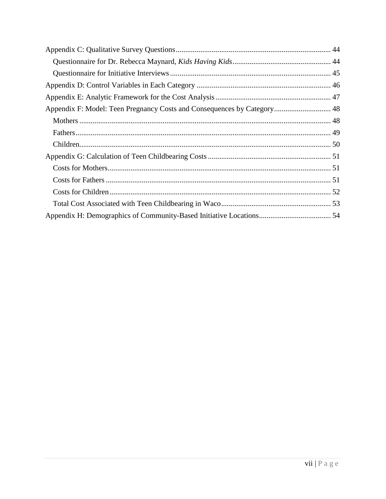| Appendix F: Model: Teen Pregnancy Costs and Consequences by Category 48 |  |
|-------------------------------------------------------------------------|--|
|                                                                         |  |
|                                                                         |  |
|                                                                         |  |
|                                                                         |  |
|                                                                         |  |
|                                                                         |  |
|                                                                         |  |
|                                                                         |  |
|                                                                         |  |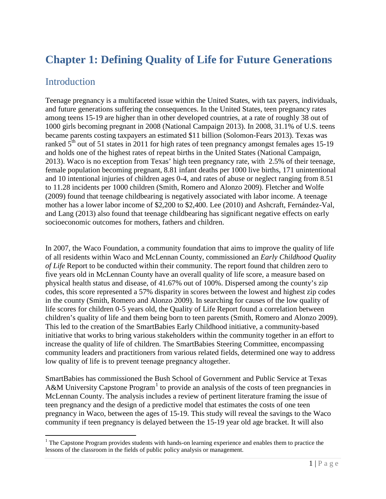# <span id="page-8-0"></span>**Chapter 1: Defining Quality of Life for Future Generations**

### <span id="page-8-1"></span>**Introduction**

 $\overline{a}$ 

Teenage pregnancy is a multifaceted issue within the United States, with tax payers, individuals, and future generations suffering the consequences. In the United States, teen pregnancy rates among teens 15-19 are higher than in other developed countries, at a rate of roughly 38 out of 1000 girls becoming pregnant in 2008 (National Campaign 2013). In 2008, 31.1% of U.S. teens became parents costing taxpayers an estimated \$11 billion (Solomon-Fears 2013). Texas was ranked  $5<sup>th</sup>$  out of 51 states in 2011 for high rates of teen pregnancy amongst females ages 15-19 and holds one of the highest rates of repeat births in the United States (National Campaign, 2013). Waco is no exception from Texas' high teen pregnancy rate, with 2.5% of their teenage, female population becoming pregnant, 8.81 infant deaths per 1000 live births, 171 unintentional and 10 intentional injuries of children ages 0-4, and rates of abuse or neglect ranging from 8.51 to 11.28 incidents per 1000 children (Smith, Romero and Alonzo 2009). Fletcher and Wolfe (2009) found that teenage childbearing is negatively associated with labor income. A teenage mother has a lower labor income of \$2,200 to \$2,400. Lee (2010) and Ashcraft, Fernández-Val, and Lang (2013) also found that teenage childbearing has significant negative effects on early socioeconomic outcomes for mothers, fathers and children.

In 2007, the Waco Foundation, a community foundation that aims to improve the quality of life of all residents within Waco and McLennan County, commissioned an *Early Childhood Quality of Life* Report to be conducted within their community. The report found that children zero to five years old in McLennan County have an overall quality of life score, a measure based on physical health status and disease, of 41.67% out of 100%. Dispersed among the county's zip codes, this score represented a 57% disparity in scores between the lowest and highest zip codes in the county (Smith, Romero and Alonzo 2009). In searching for causes of the low quality of life scores for children 0-5 years old, the Quality of Life Report found a correlation between children's quality of life and them being born to teen parents (Smith, Romero and Alonzo 2009). This led to the creation of the SmartBabies Early Childhood initiative, a community-based initiative that works to bring various stakeholders within the community together in an effort to increase the quality of life of children. The SmartBabies Steering Committee, encompassing community leaders and practitioners from various related fields, determined one way to address low quality of life is to prevent teenage pregnancy altogether.

SmartBabies has commissioned the Bush School of Government and Public Service at Texas A&M University Capstone Program<sup>[1](#page-8-2)</sup> to provide an analysis of the costs of teen pregnancies in McLennan County. The analysis includes a review of pertinent literature framing the issue of teen pregnancy and the design of a predictive model that estimates the costs of one teen pregnancy in Waco, between the ages of 15-19. This study will reveal the savings to the Waco community if teen pregnancy is delayed between the 15-19 year old age bracket. It will also

<span id="page-8-2"></span> $1$  The Capstone Program provides students with hands-on learning experience and enables them to practice the lessons of the classroom in the fields of public policy analysis or management.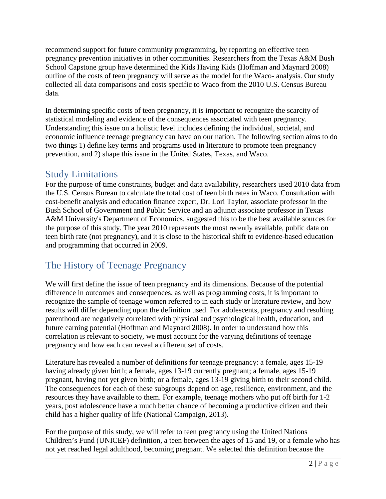recommend support for future community programming, by reporting on effective teen pregnancy prevention initiatives in other communities. Researchers from the Texas A&M Bush School Capstone group have determined the Kids Having Kids (Hoffman and Maynard 2008) outline of the costs of teen pregnancy will serve as the model for the Waco- analysis. Our study collected all data comparisons and costs specific to Waco from the 2010 U.S. Census Bureau data.

In determining specific costs of teen pregnancy, it is important to recognize the scarcity of statistical modeling and evidence of the consequences associated with teen pregnancy. Understanding this issue on a holistic level includes defining the individual, societal, and economic influence teenage pregnancy can have on our nation. The following section aims to do two things 1) define key terms and programs used in literature to promote teen pregnancy prevention, and 2) shape this issue in the United States, Texas, and Waco.

### <span id="page-9-0"></span>Study Limitations

For the purpose of time constraints, budget and data availability, researchers used 2010 data from the U.S. Census Bureau to calculate the total cost of teen birth rates in Waco. Consultation with cost-benefit analysis and education finance expert, Dr. Lori Taylor, associate professor in the Bush School of Government and Public Service and an adjunct associate professor in Texas A&M University's Department of Economics, suggested this to be the best available sources for the purpose of this study. The year 2010 represents the most recently available, public data on teen birth rate (not pregnancy), and it is close to the historical shift to evidence-based education and programming that occurred in 2009.

### <span id="page-9-1"></span>The History of Teenage Pregnancy

We will first define the issue of teen pregnancy and its dimensions. Because of the potential difference in outcomes and consequences, as well as programming costs, it is important to recognize the sample of teenage women referred to in each study or literature review, and how results will differ depending upon the definition used. For adolescents, pregnancy and resulting parenthood are negatively correlated with physical and psychological health, education, and future earning potential (Hoffman and Maynard 2008). In order to understand how this correlation is relevant to society, we must account for the varying definitions of teenage pregnancy and how each can reveal a different set of costs.

Literature has revealed a number of definitions for teenage pregnancy: a female, ages 15-19 having already given birth; a female, ages 13-19 currently pregnant; a female, ages 15-19 pregnant, having not yet given birth; or a female, ages 13-19 giving birth to their second child. The consequences for each of these subgroups depend on age, resilience, environment, and the resources they have available to them. For example, teenage mothers who put off birth for 1-2 years, post adolescence have a much better chance of becoming a productive citizen and their child has a higher quality of life (National Campaign, 2013).

For the purpose of this study, we will refer to teen pregnancy using the United Nations Children's Fund (UNICEF) definition, a teen between the ages of 15 and 19, or a female who has not yet reached legal adulthood, becoming pregnant. We selected this definition because the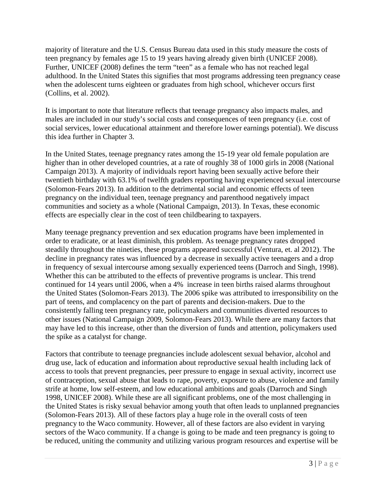majority of literature and the U.S. Census Bureau data used in this study measure the costs of teen pregnancy by females age 15 to 19 years having already given birth (UNICEF 2008). Further, UNICEF (2008) defines the term "teen" as a female who has not reached legal adulthood. In the United States this signifies that most programs addressing teen pregnancy cease when the adolescent turns eighteen or graduates from high school, whichever occurs first (Collins, et al. 2002).

It is important to note that literature reflects that teenage pregnancy also impacts males, and males are included in our study's social costs and consequences of teen pregnancy (i.e. cost of social services, lower educational attainment and therefore lower earnings potential). We discuss this idea further in Chapter 3.

In the United States, teenage pregnancy rates among the 15-19 year old female population are higher than in other developed countries, at a rate of roughly 38 of 1000 girls in 2008 (National Campaign 2013). A majority of individuals report having been sexually active before their twentieth birthday with 63.1% of twelfth graders reporting having experienced sexual intercourse (Solomon-Fears 2013). In addition to the detrimental social and economic effects of teen pregnancy on the individual teen, teenage pregnancy and parenthood negatively impact communities and society as a whole (National Campaign, 2013). In Texas, these economic effects are especially clear in the cost of teen childbearing to taxpayers.

Many teenage pregnancy prevention and sex education programs have been implemented in order to eradicate, or at least diminish, this problem. As teenage pregnancy rates dropped steadily throughout the nineties, these programs appeared successful (Ventura, et. al 2012). The decline in pregnancy rates was influenced by a decrease in sexually active teenagers and a drop in frequency of sexual intercourse among sexually experienced teens (Darroch and Singh, 1998). Whether this can be attributed to the effects of preventive programs is unclear. This trend continued for 14 years until 2006, when a 4% increase in teen births raised alarms throughout the United States (Solomon-Fears 2013). The 2006 spike was attributed to irresponsibility on the part of teens, and complacency on the part of parents and decision-makers. Due to the consistently falling teen pregnancy rate, policymakers and communities diverted resources to other issues (National Campaign 2009, Solomon-Fears 2013). While there are many factors that may have led to this increase, other than the diversion of funds and attention, policymakers used the spike as a catalyst for change.

Factors that contribute to teenage pregnancies include adolescent sexual behavior, alcohol and drug use, lack of education and information about reproductive sexual health including lack of access to tools that prevent pregnancies, peer pressure to engage in sexual activity, incorrect use of contraception, sexual abuse that leads to rape, poverty, exposure to abuse, violence and family strife at home, low self-esteem, and low educational ambitions and goals (Darroch and Singh 1998, UNICEF 2008). While these are all significant problems, one of the most challenging in the United States is risky sexual behavior among youth that often leads to unplanned pregnancies (Solomon-Fears 2013). All of these factors play a huge role in the overall costs of teen pregnancy to the Waco community. However, all of these factors are also evident in varying sectors of the Waco community. If a change is going to be made and teen pregnancy is going to be reduced, uniting the community and utilizing various program resources and expertise will be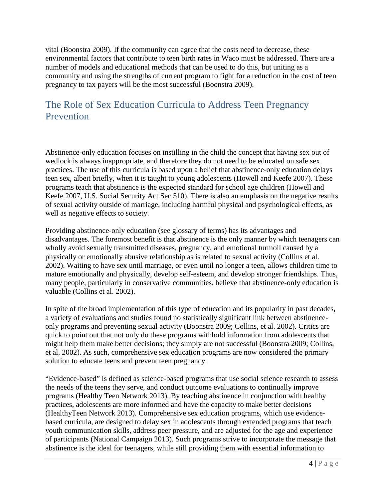vital (Boonstra 2009). If the community can agree that the costs need to decrease, these environmental factors that contribute to teen birth rates in Waco must be addressed. There are a number of models and educational methods that can be used to do this, but uniting as a community and using the strengths of current program to fight for a reduction in the cost of teen pregnancy to tax payers will be the most successful (Boonstra 2009).

### <span id="page-11-0"></span>The Role of Sex Education Curricula to Address Teen Pregnancy Prevention

Abstinence-only education focuses on instilling in the child the concept that having sex out of wedlock is always inappropriate, and therefore they do not need to be educated on safe sex practices. The use of this curricula is based upon a belief that abstinence-only education delays teen sex, albeit briefly, when it is taught to young adolescents (Howell and Keefe 2007). These programs teach that abstinence is the expected standard for school age children (Howell and Keefe 2007, U.S. Social Security Act Sec 510). There is also an emphasis on the negative results of sexual activity outside of marriage, including harmful physical and psychological effects, as well as negative effects to society.

Providing abstinence-only education (see glossary of terms) has its advantages and disadvantages. The foremost benefit is that abstinence is the only manner by which teenagers can wholly avoid sexually transmitted diseases, pregnancy, and emotional turmoil caused by a physically or emotionally abusive relationship as is related to sexual activity (Collins et al. 2002). Waiting to have sex until marriage, or even until no longer a teen, allows children time to mature emotionally and physically, develop self-esteem, and develop stronger friendships. Thus, many people, particularly in conservative communities, believe that abstinence-only education is valuable (Collins et al. 2002).

In spite of the broad implementation of this type of education and its popularity in past decades, a variety of evaluations and studies found no statistically significant link between abstinenceonly programs and preventing sexual activity (Boonstra 2009; Collins, et al. 2002). Critics are quick to point out that not only do these programs withhold information from adolescents that might help them make better decisions; they simply are not successful (Boonstra 2009; Collins, et al. 2002). As such, comprehensive sex education programs are now considered the primary solution to educate teens and prevent teen pregnancy.

"Evidence-based" is defined as science-based programs that use social science research to assess the needs of the teens they serve, and conduct outcome evaluations to continually improve programs (Healthy Teen Network 2013). By teaching abstinence in conjunction with healthy practices, adolescents are more informed and have the capacity to make better decisions (HealthyTeen Network 2013). Comprehensive sex education programs, which use evidencebased curricula, are designed to delay sex in adolescents through extended programs that teach youth communication skills, address peer pressure, and are adjusted for the age and experience of participants (National Campaign 2013). Such programs strive to incorporate the message that abstinence is the ideal for teenagers, while still providing them with essential information to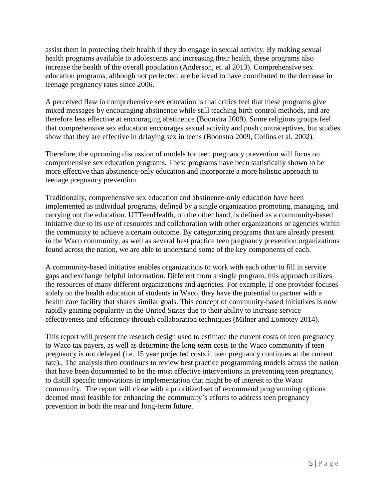assist them in protecting their health if they do engage in sexual activity. By making sexual health programs available to adolescents and increasing their health, these programs also increase the health of the overall population (Anderson, et. al 2013). Comprehensive sex education programs, although not perfected, are believed to have contributed to the decrease in teenage pregnancy rates since 2006.

A perceived flaw in comprehensive sex education is that critics feel that these programs give mixed messages by encouraging abstinence while still teaching birth control methods, and are therefore less effective at encouraging abstinence (Boonstra 2009). Some religious groups feel that comprehensive sex education encourages sexual activity and push contraceptives, but studies show that they are effective in delaying sex in teens (Boonstra 2009, Collins et al. 2002).

Therefore, the upcoming discussion of models for teen pregnancy prevention will focus on comprehensive sex education programs. These programs have been statistically shown to be more effective than abstinence-only education and incorporate a more holistic approach to teenage pregnancy prevention.

Traditionally, comprehensive sex education and abstinence-only education have been implemented as individual programs, defined by a single organization promoting, managing, and carrying out the education. UTTeenHealth, on the other hand, is defined as a community-based initiative due to its use of resources and collaboration with other organizations or agencies within the community to achieve a certain outcome. By categorizing programs that are already present in the Waco community, as well as several best practice teen pregnancy prevention organizations found across the nation, we are able to understand some of the key components of each.

A community-based initiative enables organizations to work with each other to fill in service gaps and exchange helpful information. Different from a single program, this approach utilizes the resources of many different organizations and agencies. For example, if one provider focuses solely on the health education of students in Waco, they have the potential to partner with a health care facility that shares similar goals. This concept of community-based initiatives is now rapidly gaining popularity in the United States due to their ability to increase service effectiveness and efficiency through collaboration techniques (Milner and Lomotey 2014).

This report will present the research design used to estimate the current costs of teen pregnancy to Waco tax payers, as well as determine the long-term costs to the Waco community if teen pregnancy is not delayed (i.e. 15 year projected costs if teen pregnancy continues at the current rate)., The analysis then continues to review best practice programming models across the nation that have been documented to be the most effective interventions in preventing teen pregnancy, to distill specific innovations in implementation that might be of interest to the Waco community. The report will close with a prioritized set of recommend programming options deemed most feasible for enhancing the community's efforts to address teen pregnancy prevention in both the near and long-term future.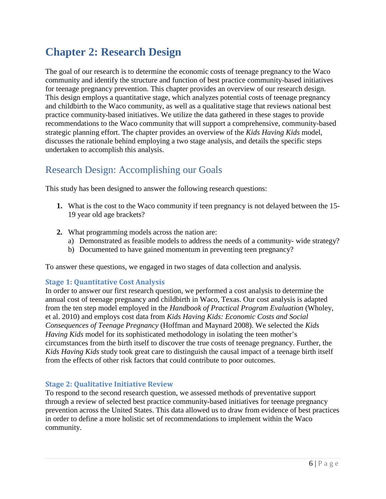# <span id="page-13-0"></span>**Chapter 2: Research Design**

The goal of our research is to determine the economic costs of teenage pregnancy to the Waco community and identify the structure and function of best practice community-based initiatives for teenage pregnancy prevention. This chapter provides an overview of our research design. This design employs a quantitative stage, which analyzes potential costs of teenage pregnancy and childbirth to the Waco community, as well as a qualitative stage that reviews national best practice community-based initiatives. We utilize the data gathered in these stages to provide recommendations to the Waco community that will support a comprehensive, community-based strategic planning effort. The chapter provides an overview of the *Kids Having Kids* model, discusses the rationale behind employing a two stage analysis, and details the specific steps undertaken to accomplish this analysis.

### <span id="page-13-1"></span>Research Design: Accomplishing our Goals

This study has been designed to answer the following research questions:

- **1.** What is the cost to the Waco community if teen pregnancy is not delayed between the 15- 19 year old age brackets?
- **2.** What programming models across the nation are:
	- a) Demonstrated as feasible models to address the needs of a community- wide strategy?
	- b) Documented to have gained momentum in preventing teen pregnancy?

To answer these questions, we engaged in two stages of data collection and analysis.

#### **Stage 1: Quantitative Cost Analysis**

In order to answer our first research question, we performed a cost analysis to determine the annual cost of teenage pregnancy and childbirth in Waco, Texas. Our cost analysis is adapted from the ten step model employed in the *Handbook of Practical Program Evaluation* (Wholey, et al. 2010) and employs cost data from *Kids Having Kids: Economic Costs and Social Consequences of Teenage Pregnancy* (Hoffman and Maynard 2008). We selected the *Kids Having Kids* model for its sophisticated methodology in isolating the teen mother's circumstances from the birth itself to discover the true costs of teenage pregnancy. Further, the *Kids Having Kids* study took great care to distinguish the causal impact of a teenage birth itself from the effects of other risk factors that could contribute to poor outcomes.

### **Stage 2: Qualitative Initiative Review**

To respond to the second research question, we assessed methods of preventative support through a review of selected best practice community-based initiatives for teenage pregnancy prevention across the United States. This data allowed us to draw from evidence of best practices in order to define a more holistic set of recommendations to implement within the Waco community.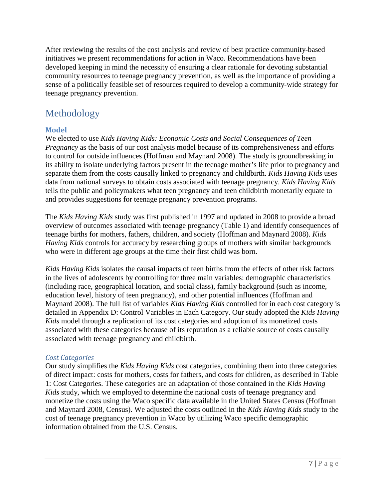After reviewing the results of the cost analysis and review of best practice community-based initiatives we present recommendations for action in Waco. Recommendations have been developed keeping in mind the necessity of ensuring a clear rationale for devoting substantial community resources to teenage pregnancy prevention, as well as the importance of providing a sense of a politically feasible set of resources required to develop a community-wide strategy for teenage pregnancy prevention.

### <span id="page-14-0"></span>Methodology

### **Model**

We elected to use *Kids Having Kids: Economic Costs and Social Consequences of Teen Pregnancy* as the basis of our cost analysis model because of its comprehensiveness and efforts to control for outside influences (Hoffman and Maynard 2008). The study is groundbreaking in its ability to isolate underlying factors present in the teenage mother's life prior to pregnancy and separate them from the costs causally linked to pregnancy and childbirth. *Kids Having Kids* uses data from national surveys to obtain costs associated with teenage pregnancy. *Kids Having Kids* tells the public and policymakers what teen pregnancy and teen childbirth monetarily equate to and provides suggestions for teenage pregnancy prevention programs.

The *Kids Having Kids* study was first published in 1997 and updated in 2008 to provide a broad overview of outcomes associated with teenage pregnancy (Table 1) and identify consequences of teenage births for mothers, fathers, children, and society (Hoffman and Maynard 2008). *Kids Having Kids* controls for accuracy by researching groups of mothers with similar backgrounds who were in different age groups at the time their first child was born.

*Kids Having Kids* isolates the causal impacts of teen births from the effects of other risk factors in the lives of adolescents by controlling for three main variables: demographic characteristics (including race, geographical location, and social class), family background (such as income, education level, history of teen pregnancy), and other potential influences (Hoffman and Maynard 2008). The full list of variables *Kids Having Kids* controlled for in each cost category is detailed in Appendix D: Control Variables in Each Category. Our study adopted the *Kids Having Kids* model through a replication of its cost categories and adoption of its monetized costs associated with these categories because of its reputation as a reliable source of costs causally associated with teenage pregnancy and childbirth.

### *Cost Categories*

Our study simplifies the *Kids Having Kids* cost categories, combining them into three categories of direct impact: costs for mothers, costs for fathers, and costs for children, as described in Table 1: Cost Categories. These categories are an adaptation of those contained in the *Kids Having Kids* study, which we employed to determine the national costs of teenage pregnancy and monetize the costs using the Waco specific data available in the United States Census (Hoffman and Maynard 2008, Census). We adjusted the costs outlined in the *Kids Having Kids* study to the cost of teenage pregnancy prevention in Waco by utilizing Waco specific demographic information obtained from the U.S. Census.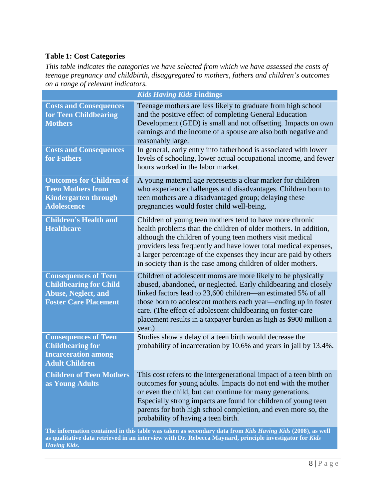### **Table 1: Cost Categories**

*This table indicates the categories we have selected from which we have assessed the costs of teenage pregnancy and childbirth, disaggregated to mothers, fathers and children's outcomes on a range of relevant indicators.*

|                                                                                                                                                                                                                      | <b>Kids Having Kids Findings</b>                                                                                                                                                                                                                                                                                                                                                                                 |  |  |  |
|----------------------------------------------------------------------------------------------------------------------------------------------------------------------------------------------------------------------|------------------------------------------------------------------------------------------------------------------------------------------------------------------------------------------------------------------------------------------------------------------------------------------------------------------------------------------------------------------------------------------------------------------|--|--|--|
| <b>Costs and Consequences</b><br>for Teen Childbearing<br><b>Mothers</b>                                                                                                                                             | Teenage mothers are less likely to graduate from high school<br>and the positive effect of completing General Education<br>Development (GED) is small and not offsetting. Impacts on own<br>earnings and the income of a spouse are also both negative and<br>reasonably large.                                                                                                                                  |  |  |  |
| <b>Costs and Consequences</b><br>for Fathers                                                                                                                                                                         | In general, early entry into fatherhood is associated with lower<br>levels of schooling, lower actual occupational income, and fewer<br>hours worked in the labor market.                                                                                                                                                                                                                                        |  |  |  |
| <b>Outcomes for Children of</b><br><b>Teen Mothers from</b><br><b>Kindergarten through</b><br><b>Adolescence</b>                                                                                                     | A young maternal age represents a clear marker for children<br>who experience challenges and disadvantages. Children born to<br>teen mothers are a disadvantaged group; delaying these<br>pregnancies would foster child well-being.                                                                                                                                                                             |  |  |  |
| <b>Children's Health and</b><br><b>Healthcare</b>                                                                                                                                                                    | Children of young teen mothers tend to have more chronic<br>health problems than the children of older mothers. In addition,<br>although the children of young teen mothers visit medical<br>providers less frequently and have lower total medical expenses,<br>a larger percentage of the expenses they incur are paid by others<br>in society than is the case among children of older mothers.               |  |  |  |
| <b>Consequences of Teen</b><br><b>Childbearing for Child</b><br><b>Abuse, Neglect, and</b><br><b>Foster Care Placement</b>                                                                                           | Children of adolescent moms are more likely to be physically<br>abused, abandoned, or neglected. Early childbearing and closely<br>linked factors lead to 23,600 children—an estimated 5% of all<br>those born to adolescent mothers each year—ending up in foster<br>care. (The effect of adolescent childbearing on foster-care<br>placement results in a taxpayer burden as high as \$900 million a<br>year.) |  |  |  |
| <b>Consequences of Teen</b><br><b>Childbearing for</b><br><b>Incarceration among</b><br><b>Adult Children</b>                                                                                                        | Studies show a delay of a teen birth would decrease the<br>probability of incarceration by 10.6% and years in jail by 13.4%.                                                                                                                                                                                                                                                                                     |  |  |  |
| <b>Children of Teen Mothers</b><br>as Young Adults                                                                                                                                                                   | This cost refers to the intergenerational impact of a teen birth on<br>outcomes for young adults. Impacts do not end with the mother<br>or even the child, but can continue for many generations.<br>Especially strong impacts are found for children of young teen<br>parents for both high school completion, and even more so, the<br>probability of having a teen birth.                                     |  |  |  |
| The information contained in this table was taken as secondary data from Kids Having Kids (2008), as well<br>as qualitative data retrieved in an interview with Dr. Rebecca Maynard, principle investigator for Kids |                                                                                                                                                                                                                                                                                                                                                                                                                  |  |  |  |

*Having Kids***.**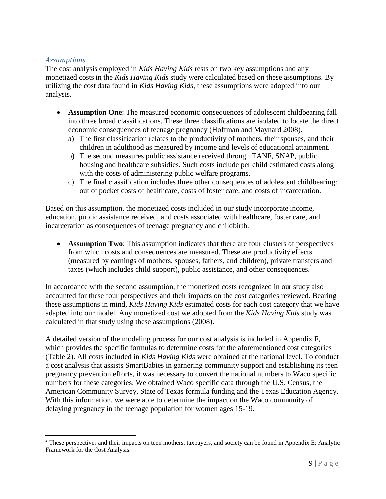#### *Assumptions*

 $\overline{a}$ 

The cost analysis employed in *Kids Having Kids* rests on two key assumptions and any monetized costs in the *Kids Having Kids* study were calculated based on these assumptions. By utilizing the cost data found in *Kids Having Kids*, these assumptions were adopted into our analysis.

- **Assumption One**: The measured economic consequences of adolescent childbearing fall into three broad classifications. These three classifications are isolated to locate the direct economic consequences of teenage pregnancy (Hoffman and Maynard 2008).
	- a) The first classification relates to the productivity of mothers, their spouses, and their children in adulthood as measured by income and levels of educational attainment.
	- b) The second measures public assistance received through TANF, SNAP, public housing and healthcare subsidies. Such costs include per child estimated costs along with the costs of administering public welfare programs.
	- c) The final classification includes three other consequences of adolescent childbearing: out of pocket costs of healthcare, costs of foster care, and costs of incarceration.

Based on this assumption, the monetized costs included in our study incorporate income, education, public assistance received, and costs associated with healthcare, foster care, and incarceration as consequences of teenage pregnancy and childbirth.

• **Assumption Two**: This assumption indicates that there are four clusters of perspectives from which costs and consequences are measured. These are productivity effects (measured by earnings of mothers, spouses, fathers, and children), private transfers and taxes (which includes child support), public assistance, and other consequences. $2$ 

In accordance with the second assumption, the monetized costs recognized in our study also accounted for these four perspectives and their impacts on the cost categories reviewed. Bearing these assumptions in mind, *Kids Having Kids* estimated costs for each cost category that we have adapted into our model. Any monetized cost we adopted from the *Kids Having Kids* study was calculated in that study using these assumptions (2008).

A detailed version of the modeling process for our cost analysis is included in Appendix F, which provides the specific formulas to determine costs for the aforementioned cost categories (Table 2). All costs included in *Kids Having Kids* were obtained at the national level. To conduct a cost analysis that assists SmartBabies in garnering community support and establishing its teen pregnancy prevention efforts, it was necessary to convert the national numbers to Waco specific numbers for these categories. We obtained Waco specific data through the U.S. Census, the American Community Survey, State of Texas formula funding and the Texas Education Agency. With this information, we were able to determine the impact on the Waco community of delaying pregnancy in the teenage population for women ages 15-19.

<span id="page-16-0"></span> $2^2$  These perspectives and their impacts on teen mothers, taxpayers, and society can be found in Appendix E: Analytic Framework for the Cost Analysis.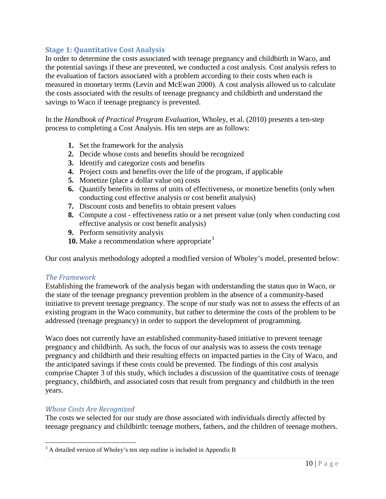### **Stage 1: Quantitative Cost Analysis**

In order to determine the costs associated with teenage pregnancy and childbirth in Waco, and the potential savings if these are prevented, we conducted a cost analysis. Cost analysis refers to the evaluation of factors associated with a problem according to their costs when each is measured in monetary terms (Levin and McEwan 2000). A cost analysis allowed us to calculate the costs associated with the results of teenage pregnancy and childbirth and understand the savings to Waco if teenage pregnancy is prevented.

In the *Handbook of Practical Program Evaluation*, Wholey, et al. (2010) presents a ten-step process to completing a Cost Analysis. His ten steps are as follows:

- **1.** Set the framework for the analysis
- **2.** Decide whose costs and benefits should be recognized
- **3.** Identify and categorize costs and benefits
- **4.** Project costs and benefits over the life of the program, if applicable
- **5.** Monetize (place a dollar value on) costs
- **6.** Quantify benefits in terms of units of effectiveness, or monetize benefits (only when conducting cost effective analysis or cost benefit analysis)
- **7.** Discount costs and benefits to obtain present values
- **8.** Compute a cost effectiveness ratio or a net present value (only when conducting cost effective analysis or cost benefit analysis)
- **9.** Perform sensitivity analysis
- **10.** Make a recommendation where appropriate<sup>[3](#page-17-0)</sup>

Our cost analysis methodology adopted a modified version of Wholey's model, presented below:

#### *The Framework*

Establishing the framework of the analysis began with understanding the status quo in Waco, or the state of the teenage pregnancy prevention problem in the absence of a community-based initiative to prevent teenage pregnancy. The scope of our study was not to assess the effects of an existing program in the Waco community, but rather to determine the costs of the problem to be addressed (teenage pregnancy) in order to support the development of programming.

Waco does not currently have an established community-based initiative to prevent teenage pregnancy and childbirth. As such, the focus of our analysis was to assess the costs teenage pregnancy and childbirth and their resulting effects on impacted parties in the City of Waco, and the anticipated savings if these costs could be prevented. The findings of this cost analysis comprise Chapter 3 of this study, which includes a discussion of the quantitative costs of teenage pregnancy, childbirth, and associated costs that result from pregnancy and childbirth in the teen years.

#### *Whose Costs Are Recognized*

 $\overline{a}$ 

The costs we selected for our study are those associated with individuals directly affected by teenage pregnancy and childbirth: teenage mothers, fathers, and the children of teenage mothers.

<span id="page-17-0"></span> $3$  A detailed version of Wholey's ten step outline is included in Appendix B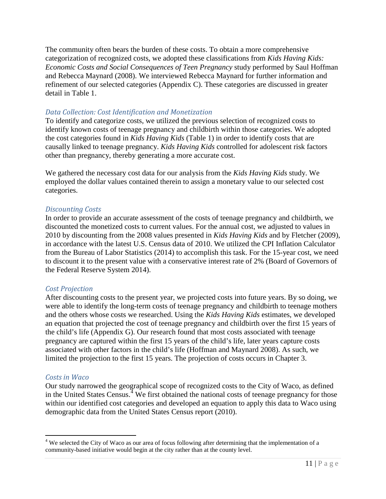The community often bears the burden of these costs. To obtain a more comprehensive categorization of recognized costs, we adopted these classifications from *Kids Having Kids: Economic Costs and Social Consequences of Teen Pregnancy* study performed by Saul Hoffman and Rebecca Maynard (2008). We interviewed Rebecca Maynard for further information and refinement of our selected categories (Appendix C). These categories are discussed in greater detail in Table 1.

#### *Data Collection: Cost Identification and Monetization*

To identify and categorize costs, we utilized the previous selection of recognized costs to identify known costs of teenage pregnancy and childbirth within those categories. We adopted the cost categories found in *Kids Having Kids* (Table 1) in order to identify costs that are causally linked to teenage pregnancy. *Kids Having Kids* controlled for adolescent risk factors other than pregnancy, thereby generating a more accurate cost.

We gathered the necessary cost data for our analysis from the *Kids Having Kids* study. We employed the dollar values contained therein to assign a monetary value to our selected cost categories.

#### *Discounting Costs*

In order to provide an accurate assessment of the costs of teenage pregnancy and childbirth, we discounted the monetized costs to current values. For the annual cost, we adjusted to values in 2010 by discounting from the 2008 values presented in *Kids Having Kids* and by Fletcher (2009), in accordance with the latest U.S. Census data of 2010. We utilized the CPI Inflation Calculator from the Bureau of Labor Statistics (2014) to accomplish this task. For the 15-year cost, we need to discount it to the present value with a conservative interest rate of 2% (Board of Governors of the Federal Reserve System 2014).

### *Cost Projection*

After discounting costs to the present year, we projected costs into future years. By so doing, we were able to identify the long-term costs of teenage pregnancy and childbirth to teenage mothers and the others whose costs we researched. Using the *Kids Having Kids* estimates, we developed an equation that projected the cost of teenage pregnancy and childbirth over the first 15 years of the child's life (Appendix G). Our research found that most costs associated with teenage pregnancy are captured within the first 15 years of the child's life, later years capture costs associated with other factors in the child's life (Hoffman and Maynard 2008). As such, we limited the projection to the first 15 years. The projection of costs occurs in Chapter 3.

#### *Costs in Waco*

 $\overline{a}$ 

Our study narrowed the geographical scope of recognized costs to the City of Waco, as defined in the United States Census.<sup>[4](#page-18-0)</sup> We first obtained the national costs of teenage pregnancy for those within our identified cost categories and developed an equation to apply this data to Waco using demographic data from the United States Census report (2010).

<span id="page-18-0"></span> $4$  We selected the City of Waco as our area of focus following after determining that the implementation of a community-based initiative would begin at the city rather than at the county level.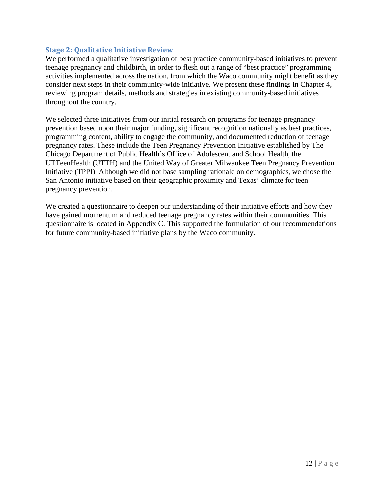#### **Stage 2: Qualitative Initiative Review**

We performed a qualitative investigation of best practice community-based initiatives to prevent teenage pregnancy and childbirth, in order to flesh out a range of "best practice" programming activities implemented across the nation, from which the Waco community might benefit as they consider next steps in their community-wide initiative. We present these findings in Chapter 4, reviewing program details, methods and strategies in existing community-based initiatives throughout the country.

We selected three initiatives from our initial research on programs for teenage pregnancy prevention based upon their major funding, significant recognition nationally as best practices, programming content, ability to engage the community, and documented reduction of teenage pregnancy rates. These include the Teen Pregnancy Prevention Initiative established by The Chicago Department of Public Health's Office of Adolescent and School Health, the UTTeenHealth (UTTH) and the United Way of Greater Milwaukee Teen Pregnancy Prevention Initiative (TPPI). Although we did not base sampling rationale on demographics, we chose the San Antonio initiative based on their geographic proximity and Texas' climate for teen pregnancy prevention.

We created a questionnaire to deepen our understanding of their initiative efforts and how they have gained momentum and reduced teenage pregnancy rates within their communities. This questionnaire is located in Appendix C. This supported the formulation of our recommendations for future community-based initiative plans by the Waco community.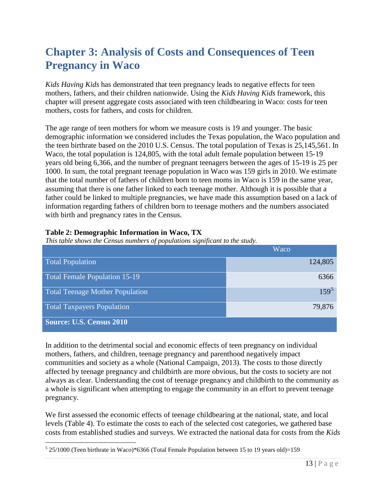# <span id="page-20-0"></span>**Chapter 3: Analysis of Costs and Consequences of Teen Pregnancy in Waco**

*Kids Having Kids* has demonstrated that teen pregnancy leads to negative effects for teen mothers, fathers, and their children nationwide. Using the *Kids Having Kids* framework, this chapter will present aggregate costs associated with teen childbearing in Waco: costs for teen mothers, costs for fathers, and costs for children.

The age range of teen mothers for whom we measure costs is 19 and younger. The basic demographic information we considered includes the Texas population, the Waco population and the teen birthrate based on the 2010 U.S. Census. The total population of Texas is 25,145,561. In Waco, the total population is 124,805, with the total adult female population between 15-19 years old being 6,366, and the number of pregnant teenagers between the ages of 15-19 is 25 per 1000. In sum, the total pregnant teenage population in Waco was 159 girls in 2010. We estimate that the total number of fathers of children born to teen moms in Waco is 159 in the same year, assuming that there is one father linked to each teenage mother. Although it is possible that a father could be linked to multiple pregnancies, we have made this assumption based on a lack of information regarding fathers of children born to teenage mothers and the numbers associated with birth and pregnancy rates in the Census.

### **Table 2: Demographic Information in Waco, TX**

*This table shows the Census numbers of populations significant to the study.*

|                                      | Waco    |
|--------------------------------------|---------|
| <b>Total Population</b>              | 124,805 |
| <b>Total Female Population 15-19</b> | 6366    |
| Total Teenage Mother Population      | $159^5$ |
| <b>Total Taxpayers Population</b>    | 79,876  |
| <b>Source: U.S. Census 2010</b>      |         |

In addition to the detrimental social and economic effects of teen pregnancy on individual mothers, fathers, and children, teenage pregnancy and parenthood negatively impact communities and society as a whole (National Campaign, 2013). The costs to those directly affected by teenage pregnancy and childbirth are more obvious, but the costs to society are not always as clear. Understanding the cost of teenage pregnancy and childbirth to the community as a whole is significant when attempting to engage the community in an effort to prevent teenage pregnancy.

We first assessed the economic effects of teenage childbearing at the national, state, and local levels (Table 4). To estimate the costs to each of the selected cost categories, we gathered base costs from established studies and surveys. We extracted the national data for costs from the *Kids* 

<span id="page-20-1"></span> $5$  25/1000 (Teen birthrate in Waco)\*6366 (Total Female Population between 15 to 19 years old)=159  $\overline{a}$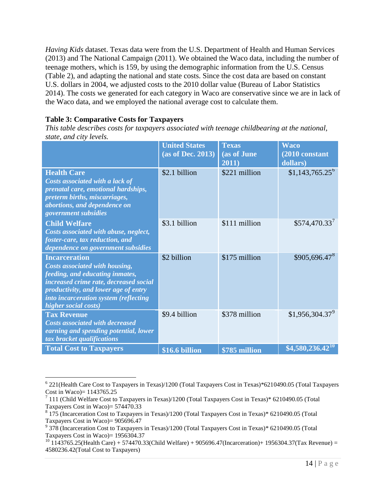*Having Kids* dataset. Texas data were from the U.S. Department of Health and Human Services (2013) and The National Campaign (2011). We obtained the Waco data, including the number of teenage mothers, which is 159, by using the demographic information from the U.S. Census (Table 2), and adapting the national and state costs. Since the cost data are based on constant U.S. dollars in 2004, we adjusted costs to the 2010 dollar value (Bureau of Labor Statistics 2014). The costs we generated for each category in Waco are conservative since we are in lack of the Waco data, and we employed the national average cost to calculate them.

### **Table 3: Comparative Costs for Taxpayers**

*This table describes costs for taxpayers associated with teenage childbearing at the national, state, and city levels.*

|                                                                                                                                                                                                                                              | <b>United States</b><br>(as of Dec. 2013) | <b>Texas</b><br>(as of June<br>2011) | <b>Waco</b><br>(2010 constant<br>dollars) |
|----------------------------------------------------------------------------------------------------------------------------------------------------------------------------------------------------------------------------------------------|-------------------------------------------|--------------------------------------|-------------------------------------------|
| <b>Health Care</b><br>Costs associated with a lack of<br>prenatal care, emotional hardships,<br>preterm births, miscarriages,<br>abortions, and dependence on<br>government subsidies                                                        | \$2.1 billion                             | \$221 million                        | $$1,143,765.25^{\circ}$                   |
| <b>Child Welfare</b><br>Costs associated with abuse, neglect,<br>foster-care, tax reduction, and<br>dependence on government subsidies                                                                                                       | \$3.1 billion                             | \$111 million                        | $$574,470.33^7$                           |
| <b>Incarceration</b><br>Costs associated with housing,<br>feeding, and educating inmates,<br>increased crime rate, decreased social<br>productivity, and lower age of entry<br>into incarceration system (reflecting<br>higher social costs) | \$2 billion                               | \$175 million                        | \$905,696.478                             |
| <b>Tax Revenue</b><br><b>Costs associated with decreased</b><br>earning and spending potential, lower<br>tax bracket qualifications                                                                                                          | \$9.4 billion                             | \$378 million                        | \$1,956,304.37 <sup>9</sup>               |
| <b>Total Cost to Taxpayers</b>                                                                                                                                                                                                               | \$16.6 billion                            | \$785 million                        | $$4,580,236.42$ <sup>10</sup>             |

<span id="page-21-0"></span><sup>6</sup> 221(Health Care Cost to Taxpayers in Texas)/1200 (Total Taxpayers Cost in Texas)\*6210490.05 (Total Taxpayers Cost in Waco)= 1143765.25  $\overline{a}$ 

<span id="page-21-1"></span> $\frac{7}{111}$  (Child Welfare Cost to Taxpayers in Texas)/1200 (Total Taxpayers Cost in Texas)\* 6210490.05 (Total Taxpayers Cost in Waco)= 574470.33

<span id="page-21-2"></span> $8$  175 (Incarceration Cost to Taxpayers in Texas)/1200 (Total Taxpayers Cost in Texas)\* 6210490.05 (Total Taxpayers Cost in Waco)= 905696.47

<span id="page-21-3"></span><sup>9</sup> 378 (Incarceration Cost to Taxpayers in Texas)/1200 (Total Taxpayers Cost in Texas)\* 6210490.05 (Total Taxpayers Cost in Waco)= 1956304.37

<span id="page-21-4"></span> $^{10}$  1143765.25(Health Care) + 574470.33(Child Welfare) + 905696.47(Incarceration)+ 1956304.37(Tax Revenue) = 4580236.42(Total Cost to Taxpayers)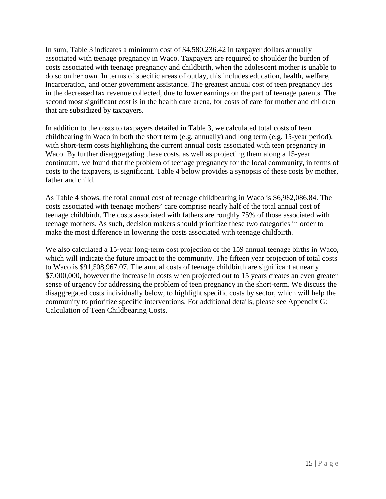In sum, Table 3 indicates a minimum cost of \$4,580,236.42 in taxpayer dollars annually associated with teenage pregnancy in Waco. Taxpayers are required to shoulder the burden of costs associated with teenage pregnancy and childbirth, when the adolescent mother is unable to do so on her own. In terms of specific areas of outlay, this includes education, health, welfare, incarceration, and other government assistance. The greatest annual cost of teen pregnancy lies in the decreased tax revenue collected, due to lower earnings on the part of teenage parents. The second most significant cost is in the health care arena, for costs of care for mother and children that are subsidized by taxpayers.

In addition to the costs to taxpayers detailed in Table 3, we calculated total costs of teen childbearing in Waco in both the short term (e.g. annually) and long term (e.g. 15-year period), with short-term costs highlighting the current annual costs associated with teen pregnancy in Waco. By further disaggregating these costs, as well as projecting them along a 15-year continuum, we found that the problem of teenage pregnancy for the local community, in terms of costs to the taxpayers, is significant. Table 4 below provides a synopsis of these costs by mother, father and child.

As Table 4 shows, the total annual cost of teenage childbearing in Waco is \$6,982,086.84. The costs associated with teenage mothers' care comprise nearly half of the total annual cost of teenage childbirth. The costs associated with fathers are roughly 75% of those associated with teenage mothers. As such, decision makers should prioritize these two categories in order to make the most difference in lowering the costs associated with teenage childbirth.

We also calculated a 15-year long-term cost projection of the 159 annual teenage births in Waco, which will indicate the future impact to the community. The fifteen year projection of total costs to Waco is \$91,508,967.07. The annual costs of teenage childbirth are significant at nearly \$7,000,000, however the increase in costs when projected out to 15 years creates an even greater sense of urgency for addressing the problem of teen pregnancy in the short-term. We discuss the disaggregated costs individually below, to highlight specific costs by sector, which will help the community to prioritize specific interventions. For additional details, please see Appendix G: Calculation of Teen Childbearing Costs.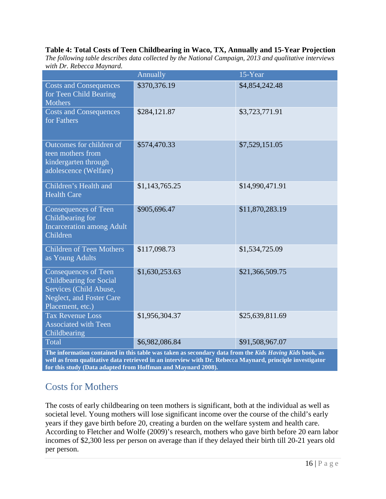#### **Table 4: Total Costs of Teen Childbearing in Waco, TX, Annually and 15-Year Projection**

*The following table describes data collected by the National Campaign, 2013 and qualitative interviews with Dr. Rebecca Maynard.*

|                                                                                                                                  | Annually       | 15-Year         |  |  |
|----------------------------------------------------------------------------------------------------------------------------------|----------------|-----------------|--|--|
| <b>Costs and Consequences</b><br>for Teen Child Bearing<br><b>Mothers</b>                                                        | \$370,376.19   | \$4,854,242.48  |  |  |
| <b>Costs and Consequences</b><br>for Fathers                                                                                     | \$284,121.87   | \$3,723,771.91  |  |  |
| Outcomes for children of<br>teen mothers from<br>kindergarten through<br>adolescence (Welfare)                                   | \$574,470.33   | \$7,529,151.05  |  |  |
| Children's Health and<br><b>Health Care</b>                                                                                      | \$1,143,765.25 | \$14,990,471.91 |  |  |
| <b>Consequences of Teen</b><br>Childbearing for<br><b>Incarceration among Adult</b><br>Children                                  | \$905,696.47   | \$11,870,283.19 |  |  |
| <b>Children of Teen Mothers</b><br>as Young Adults                                                                               | \$117,098.73   | \$1,534,725.09  |  |  |
| Consequences of Teen<br><b>Childbearing for Social</b><br>Services (Child Abuse,<br>Neglect, and Foster Care<br>Placement, etc.) | \$1,630,253.63 | \$21,366,509.75 |  |  |
| <b>Tax Revenue Loss</b><br><b>Associated with Teen</b><br>Childbearing                                                           | \$1,956,304.37 | \$25,639,811.69 |  |  |
| Total                                                                                                                            | \$6,982,086.84 | \$91,508,967.07 |  |  |
| The information contained in this table was taken as secondary data from the Kids Having Kids book, as                           |                |                 |  |  |

**well as from qualitative data retrieved in an interview with Dr. Rebecca Maynard, principle investigator for this study (Data adapted from Hoffman and Maynard 2008).**

### <span id="page-23-0"></span>Costs for Mothers

The costs of early childbearing on teen mothers is significant, both at the individual as well as societal level. Young mothers will lose significant income over the course of the child's early years if they gave birth before 20, creating a burden on the welfare system and health care. According to Fletcher and Wolfe (2009)'s research, mothers who gave birth before 20 earn labor incomes of \$2,300 less per person on average than if they delayed their birth till 20-21 years old per person.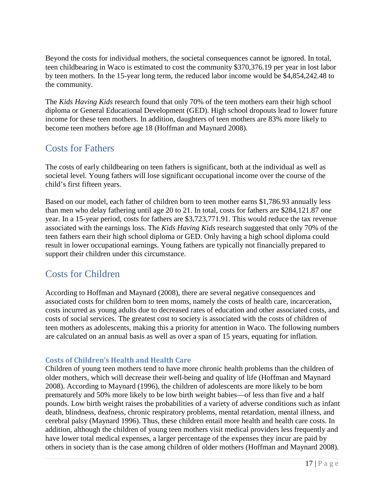Beyond the costs for individual mothers, the societal consequences cannot be ignored. In total, teen childbearing in Waco is estimated to cost the community \$370,376.19 per year in lost labor by teen mothers. In the 15-year long term, the reduced labor income would be \$4,854,242.48 to the community.

The *Kids Having Kids* research found that only 70% of the teen mothers earn their high school diploma or General Educational Development (GED). High school dropouts lead to lower future income for these teen mothers. In addition, daughters of teen mothers are 83% more likely to become teen mothers before age 18 (Hoffman and Maynard 2008).

### <span id="page-24-0"></span>Costs for Fathers

The costs of early childbearing on teen fathers is significant, both at the individual as well as societal level. Young fathers will lose significant occupational income over the course of the child's first fifteen years.

Based on our model, each father of children born to teen mother earns \$1,786.93 annually less than men who delay fathering until age 20 to 21. In total, costs for fathers are \$284,121.87 one year. In a 15-year period, costs for fathers are \$3,723,771.91. This would reduce the tax revenue associated with the earnings loss. The *Kids Having Kids* research suggested that only 70% of the teen fathers earn their high school diploma or GED. Only having a high school diploma could result in lower occupational earnings. Young fathers are typically not financially prepared to support their children under this circumstance.

### <span id="page-24-1"></span>Costs for Children

According to Hoffman and Maynard (2008), there are several negative consequences and associated costs for children born to teen moms, namely the costs of health care, incarceration, costs incurred as young adults due to decreased rates of education and other associated costs, and costs of social services. The greatest cost to society is associated with the costs of children of teen mothers as adolescents, making this a priority for attention in Waco. The following numbers are calculated on an annual basis as well as over a span of 15 years, equating for inflation.

### **Costs of Children's Health and Health Care**

Children of young teen mothers tend to have more chronic health problems than the children of older mothers, which will decrease their well-being and quality of life (Hoffman and Maynard 2008). According to Maynard (1996), the children of adolescents are more likely to be born prematurely and 50% more likely to be low birth weight babies—of less than five and a half pounds. Low birth weight raises the probabilities of a variety of adverse conditions such as infant death, blindness, deafness, chronic respiratory problems, mental retardation, mental illness, and cerebral palsy (Maynard 1996). Thus, these children entail more health and health care costs. In addition, although the children of young teen mothers visit medical providers less frequently and have lower total medical expenses, a larger percentage of the expenses they incur are paid by others in society than is the case among children of older mothers (Hoffman and Maynard 2008).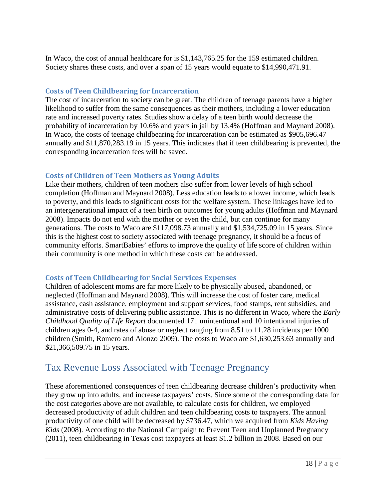In Waco, the cost of annual healthcare for is \$1,143,765.25 for the 159 estimated children. Society shares these costs, and over a span of 15 years would equate to \$14,990,471.91.

### **Costs of Teen Childbearing for Incarceration**

The cost of incarceration to society can be great. The children of teenage parents have a higher likelihood to suffer from the same consequences as their mothers, including a lower education rate and increased poverty rates. Studies show a delay of a teen birth would decrease the probability of incarceration by 10.6% and years in jail by 13.4% (Hoffman and Maynard 2008). In Waco, the costs of teenage childbearing for incarceration can be estimated as \$905,696.47 annually and \$11,870,283.19 in 15 years. This indicates that if teen childbearing is prevented, the corresponding incarceration fees will be saved.

#### **Costs of Children of Teen Mothers as Young Adults**

Like their mothers, children of teen mothers also suffer from lower levels of high school completion (Hoffman and Maynard 2008). Less education leads to a lower income, which leads to poverty, and this leads to significant costs for the welfare system. These linkages have led to an intergenerational impact of a teen birth on outcomes for young adults (Hoffman and Maynard 2008). Impacts do not end with the mother or even the child, but can continue for many generations. The costs to Waco are \$117,098.73 annually and \$1,534,725.09 in 15 years. Since this is the highest cost to society associated with teenage pregnancy, it should be a focus of community efforts. SmartBabies' efforts to improve the quality of life score of children within their community is one method in which these costs can be addressed.

#### **Costs of Teen Childbearing for Social Services Expenses**

Children of adolescent moms are far more likely to be physically abused, abandoned, or neglected (Hoffman and Maynard 2008). This will increase the cost of foster care, medical assistance, cash assistance, employment and support services, food stamps, rent subsidies, and administrative costs of delivering public assistance. This is no different in Waco, where the *Early Childhood Quality of Life Report* documented 171 unintentional and 10 intentional injuries of children ages 0-4, and rates of abuse or neglect ranging from 8.51 to 11.28 incidents per 1000 children (Smith, Romero and Alonzo 2009). The costs to Waco are \$1,630,253.63 annually and \$21,366,509.75 in 15 years.

### <span id="page-25-0"></span>Tax Revenue Loss Associated with Teenage Pregnancy

These aforementioned consequences of teen childbearing decrease children's productivity when they grow up into adults, and increase taxpayers' costs. Since some of the corresponding data for the cost categories above are not available, to calculate costs for children, we employed decreased productivity of adult children and teen childbearing costs to taxpayers. The annual productivity of one child will be decreased by \$736.47, which we acquired from *Kids Having Kids* (2008). According to the National Campaign to Prevent Teen and Unplanned Pregnancy (2011), teen childbearing in Texas cost taxpayers at least \$1.2 billion in 2008. Based on our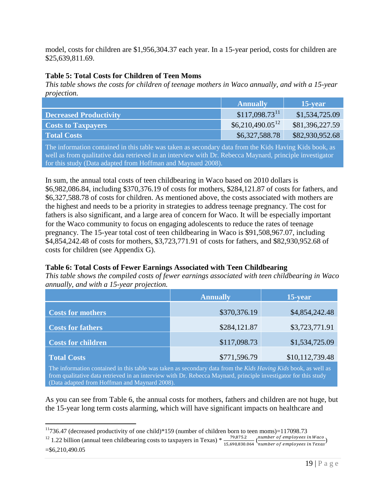model, costs for children are \$1,956,304.37 each year. In a 15-year period, costs for children are \$25,639,811.69.

### **Table 5: Total Costs for Children of Teen Moms**

*This table shows the costs for children of teenage mothers in Waco annually, and with a 15-year projection.*

|                               | <b>Annually</b>             | 15-year         |
|-------------------------------|-----------------------------|-----------------|
| <b>Decreased Productivity</b> | $$117,098.73$ <sup>11</sup> | \$1,534,725.09  |
| <b>Costs to Taxpayers</b>     | $$6,210,490.05^{12}$        | \$81,396,227.59 |
| <b>Total Costs</b>            | \$6,327,588.78              | \$82,930,952.68 |

The information contained in this table was taken as secondary data from the Kids Having Kids book, as well as from qualitative data retrieved in an interview with Dr. Rebecca Maynard, principle investigator for this study (Data adapted from Hoffman and Maynard 2008).

In sum, the annual total costs of teen childbearing in Waco based on 2010 dollars is \$6,982,086.84, including \$370,376.19 of costs for mothers, \$284,121.87 of costs for fathers, and \$6,327,588.78 of costs for children. As mentioned above, the costs associated with mothers are the highest and needs to be a priority in strategies to address teenage pregnancy. The cost for fathers is also significant, and a large area of concern for Waco. It will be especially important for the Waco community to focus on engaging adolescents to reduce the rates of teenage pregnancy. The 15-year total cost of teen childbearing in Waco is \$91,508,967.07, including \$4,854,242.48 of costs for mothers, \$3,723,771.91 of costs for fathers, and \$82,930,952.68 of costs for children (see Appendix G).

### **Table 6: Total Costs of Fewer Earnings Associated with Teen Childbearing**

*This table shows the compiled costs of fewer earnings associated with teen childbearing in Waco annually, and with a 15-year projection.*

|                           | <b>Annually</b> | 15-year         |  |
|---------------------------|-----------------|-----------------|--|
| <b>Costs for mothers</b>  | \$370,376.19    | \$4,854,242.48  |  |
| <b>Costs for fathers</b>  | \$284,121.87    | \$3,723,771.91  |  |
| <b>Costs for children</b> | \$117,098.73    | \$1,534,725.09  |  |
| <b>Total Costs</b>        | \$771,596.79    | \$10,112,739.48 |  |

The information contained in this table was taken as secondary data from the *Kids Having Kids* book, as well as from qualitative data retrieved in an interview with Dr. Rebecca Maynard, principle investigator for this study (Data adapted from Hoffman and Maynard 2008).

As you can see from Table 6, the annual costs for mothers, fathers and children are not huge, but the 15-year long term costs alarming, which will have significant impacts on healthcare and

<span id="page-26-1"></span><span id="page-26-0"></span><sup>12</sup> 1.22 billion (annual teen childbearing costs to taxpayers in Texas) \*  $\frac{79,875.2}{15,690,830.064}$  ( $\frac{number\ of\ employees\ in\ Waco}{number\ of\ employees\ in\ Texas}$ )  $= $6,210,490.05$ 

 $11736.47$  (decreased productivity of one child)\*159 (number of children born to teen moms)=117098.73  $\overline{a}$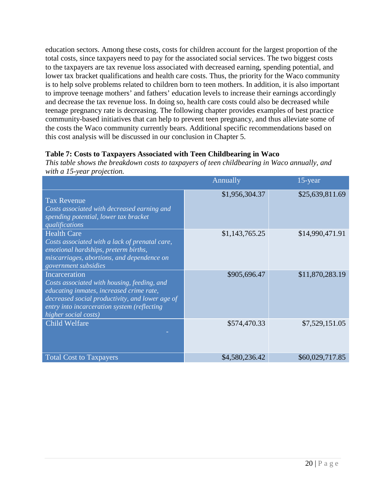education sectors. Among these costs, costs for children account for the largest proportion of the total costs, since taxpayers need to pay for the associated social services. The two biggest costs to the taxpayers are tax revenue loss associated with decreased earning, spending potential, and lower tax bracket qualifications and health care costs. Thus, the priority for the Waco community is to help solve problems related to children born to teen mothers. In addition, it is also important to improve teenage mothers' and fathers' education levels to increase their earnings accordingly and decrease the tax revenue loss. In doing so, health care costs could also be decreased while teenage pregnancy rate is decreasing. The following chapter provides examples of best practice community-based initiatives that can help to prevent teen pregnancy, and thus alleviate some of the costs the Waco community currently bears. Additional specific recommendations based on this cost analysis will be discussed in our conclusion in Chapter 5.

### **Table 7: Costs to Taxpayers Associated with Teen Childbearing in Waco**

*This table shows the breakdown costs to taxpayers of teen childbearing in Waco annually, and with a 15-year projection.*

|                                                                                                                                                                                                                                    | Annually       | 15-year         |
|------------------------------------------------------------------------------------------------------------------------------------------------------------------------------------------------------------------------------------|----------------|-----------------|
| <b>Tax Revenue</b><br>Costs associated with decreased earning and<br>spending potential, lower tax bracket<br>qualifications                                                                                                       | \$1,956,304.37 | \$25,639,811.69 |
| <b>Health Care</b><br>Costs associated with a lack of prenatal care,<br>emotional hardships, preterm births,<br>miscarriages, abortions, and dependence on<br>government subsidies                                                 | \$1,143,765.25 | \$14,990,471.91 |
| Incarceration<br>Costs associated with housing, feeding, and<br>educating inmates, increased crime rate,<br>decreased social productivity, and lower age of<br>entry into incarceration system (reflecting<br>higher social costs) | \$905,696.47   | \$11,870,283.19 |
| <b>Child Welfare</b>                                                                                                                                                                                                               | \$574,470.33   | \$7,529,151.05  |
| <b>Total Cost to Taxpayers</b>                                                                                                                                                                                                     | \$4,580,236.42 | \$60,029,717.85 |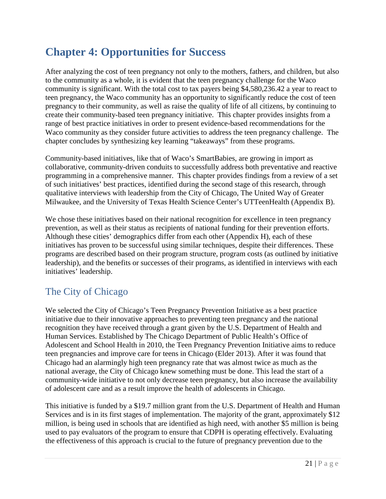# <span id="page-28-0"></span>**Chapter 4: Opportunities for Success**

After analyzing the cost of teen pregnancy not only to the mothers, fathers, and children, but also to the community as a whole, it is evident that the teen pregnancy challenge for the Waco community is significant. With the total cost to tax payers being \$4,580,236.42 a year to react to teen pregnancy, the Waco community has an opportunity to significantly reduce the cost of teen pregnancy to their community, as well as raise the quality of life of all citizens, by continuing to create their community-based teen pregnancy initiative. This chapter provides insights from a range of best practice initiatives in order to present evidence-based recommendations for the Waco community as they consider future activities to address the teen pregnancy challenge. The chapter concludes by synthesizing key learning "takeaways" from these programs.

Community-based initiatives, like that of Waco's SmartBabies, are growing in import as collaborative, community-driven conduits to successfully address both preventative and reactive programming in a comprehensive manner. This chapter provides findings from a review of a set of such initiatives' best practices, identified during the second stage of this research, through qualitative interviews with leadership from the City of Chicago, The United Way of Greater Milwaukee, and the University of Texas Health Science Center's UTTeenHealth (Appendix B).

We chose these initiatives based on their national recognition for excellence in teen pregnancy prevention, as well as their status as recipients of national funding for their prevention efforts. Although these cities' demographics differ from each other (Appendix H), each of these initiatives has proven to be successful using similar techniques, despite their differences. These programs are described based on their program structure, program costs (as outlined by initiative leadership), and the benefits or successes of their programs, as identified in interviews with each initiatives' leadership.

### <span id="page-28-1"></span>The City of Chicago

We selected the City of Chicago's Teen Pregnancy Prevention Initiative as a best practice initiative due to their innovative approaches to preventing teen pregnancy and the national recognition they have received through a grant given by the U.S. Department of Health and Human Services. Established by The Chicago Department of Public Health's Office of Adolescent and School Health in 2010, the Teen Pregnancy Prevention Initiative aims to reduce teen pregnancies and improve care for teens in Chicago (Elder 2013). After it was found that Chicago had an alarmingly high teen pregnancy rate that was almost twice as much as the national average, the City of Chicago knew something must be done. This lead the start of a community-wide initiative to not only decrease teen pregnancy, but also increase the availability of adolescent care and as a result improve the health of adolescents in Chicago.

This initiative is funded by a \$19.7 million grant from the U.S. Department of Health and Human Services and is in its first stages of implementation. The majority of the grant, approximately \$12 million, is being used in schools that are identified as high need, with another \$5 million is being used to pay evaluators of the program to ensure that CDPH is operating effectively. Evaluating the effectiveness of this approach is crucial to the future of pregnancy prevention due to the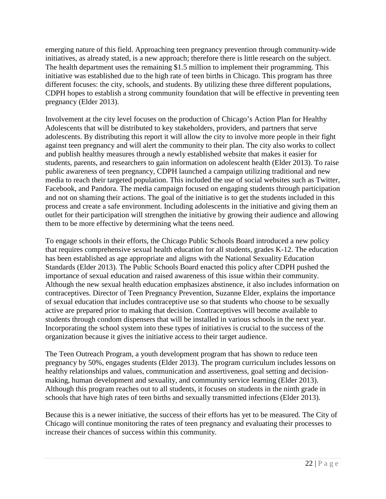emerging nature of this field. Approaching teen pregnancy prevention through community-wide initiatives, as already stated, is a new approach; therefore there is little research on the subject. The health department uses the remaining \$1.5 million to implement their programming. This initiative was established due to the high rate of teen births in Chicago. This program has three different focuses: the city, schools, and students. By utilizing these three different populations, CDPH hopes to establish a strong community foundation that will be effective in preventing teen pregnancy (Elder 2013).

Involvement at the city level focuses on the production of Chicago's Action Plan for Healthy Adolescents that will be distributed to key stakeholders, providers, and partners that serve adolescents. By distributing this report it will allow the city to involve more people in their fight against teen pregnancy and will alert the community to their plan. The city also works to collect and publish healthy measures through a newly established website that makes it easier for students, parents, and researchers to gain information on adolescent health (Elder 2013). To raise public awareness of teen pregnancy, CDPH launched a campaign utilizing traditional and new media to reach their targeted population. This included the use of social websites such as Twitter, Facebook, and Pandora. The media campaign focused on engaging students through participation and not on shaming their actions. The goal of the initiative is to get the students included in this process and create a safe environment. Including adolescents in the initiative and giving them an outlet for their participation will strengthen the initiative by growing their audience and allowing them to be more effective by determining what the teens need.

To engage schools in their efforts, the Chicago Public Schools Board introduced a new policy that requires comprehensive sexual health education for all students, grades K-12. The education has been established as age appropriate and aligns with the National Sexuality Education Standards (Elder 2013). The Public Schools Board enacted this policy after CDPH pushed the importance of sexual education and raised awareness of this issue within their community. Although the new sexual health education emphasizes abstinence, it also includes information on contraceptives. Director of Teen Pregnancy Prevention, Suzanne Elder, explains the importance of sexual education that includes contraceptive use so that students who choose to be sexually active are prepared prior to making that decision. Contraceptives will become available to students through condom dispensers that will be installed in various schools in the next year. Incorporating the school system into these types of initiatives is crucial to the success of the organization because it gives the initiative access to their target audience.

The Teen Outreach Program, a youth development program that has shown to reduce teen pregnancy by 50%, engages students (Elder 2013). The program curriculum includes lessons on healthy relationships and values, communication and assertiveness, goal setting and decisionmaking, human development and sexuality, and community service learning (Elder 2013). Although this program reaches out to all students, it focuses on students in the ninth grade in schools that have high rates of teen births and sexually transmitted infections (Elder 2013).

Because this is a newer initiative, the success of their efforts has yet to be measured. The City of Chicago will continue monitoring the rates of teen pregnancy and evaluating their processes to increase their chances of success within this community.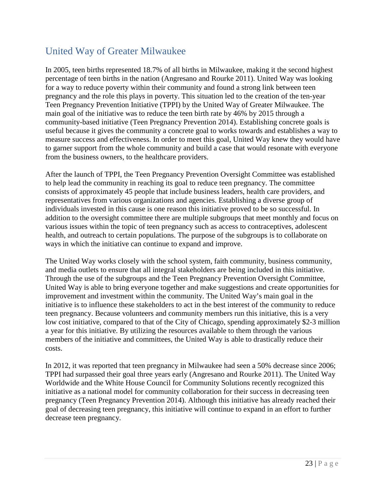### <span id="page-30-0"></span>United Way of Greater Milwaukee

In 2005, teen births represented 18.7% of all births in Milwaukee, making it the second highest percentage of teen births in the nation (Angresano and Rourke 2011). United Way was looking for a way to reduce poverty within their community and found a strong link between teen pregnancy and the role this plays in poverty. This situation led to the creation of the ten-year Teen Pregnancy Prevention Initiative (TPPI) by the United Way of Greater Milwaukee. The main goal of the initiative was to reduce the teen birth rate by 46% by 2015 through a community-based initiative (Teen Pregnancy Prevention 2014). Establishing concrete goals is useful because it gives the community a concrete goal to works towards and establishes a way to measure success and effectiveness. In order to meet this goal, United Way knew they would have to garner support from the whole community and build a case that would resonate with everyone from the business owners, to the healthcare providers.

After the launch of TPPI, the Teen Pregnancy Prevention Oversight Committee was established to help lead the community in reaching its goal to reduce teen pregnancy. The committee consists of approximately 45 people that include business leaders, health care providers, and representatives from various organizations and agencies. Establishing a diverse group of individuals invested in this cause is one reason this initiative proved to be so successful. In addition to the oversight committee there are multiple subgroups that meet monthly and focus on various issues within the topic of teen pregnancy such as access to contraceptives, adolescent health, and outreach to certain populations. The purpose of the subgroups is to collaborate on ways in which the initiative can continue to expand and improve.

The United Way works closely with the school system, faith community, business community, and media outlets to ensure that all integral stakeholders are being included in this initiative. Through the use of the subgroups and the Teen Pregnancy Prevention Oversight Committee, United Way is able to bring everyone together and make suggestions and create opportunities for improvement and investment within the community. The United Way's main goal in the initiative is to influence these stakeholders to act in the best interest of the community to reduce teen pregnancy. Because volunteers and community members run this initiative, this is a very low cost initiative, compared to that of the City of Chicago, spending approximately \$2-3 million a year for this initiative. By utilizing the resources available to them through the various members of the initiative and committees, the United Way is able to drastically reduce their costs.

In 2012, it was reported that teen pregnancy in Milwaukee had seen a 50% decrease since 2006; TPPI had surpassed their goal three years early (Angresano and Rourke 2011). The United Way Worldwide and the White House Council for Community Solutions recently recognized this initiative as a national model for community collaboration for their success in decreasing teen pregnancy (Teen Pregnancy Prevention 2014). Although this initiative has already reached their goal of decreasing teen pregnancy, this initiative will continue to expand in an effort to further decrease teen pregnancy.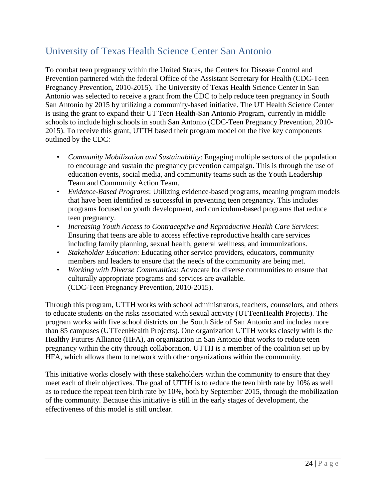### <span id="page-31-0"></span>University of Texas Health Science Center San Antonio

To combat teen pregnancy within the United States, the Centers for Disease Control and Prevention partnered with the federal Office of the Assistant Secretary for Health (CDC-Teen Pregnancy Prevention, 2010-2015). The University of Texas Health Science Center in San Antonio was selected to receive a grant from the CDC to help reduce teen pregnancy in South San Antonio by 2015 by utilizing a community-based initiative. The UT Health Science Center is using the grant to expand their UT Teen Health-San Antonio Program, currently in middle schools to include high schools in south San Antonio (CDC-Teen Pregnancy Prevention, 2010- 2015). To receive this grant, UTTH based their program model on the five key components outlined by the CDC:

- *• Community Mobilization and Sustainability*: Engaging multiple sectors of the population to encourage and sustain the pregnancy prevention campaign. This is through the use of education events, social media, and community teams such as the Youth Leadership Team and Community Action Team.
- *• Evidence-Based Programs*: Utilizing evidence-based programs, meaning program models that have been identified as successful in preventing teen pregnancy. This includes programs focused on youth development, and curriculum-based programs that reduce teen pregnancy.
- *• Increasing Youth Access to Contraceptive and Reproductive Health Care Services*: Ensuring that teens are able to access effective reproductive health care services including family planning, sexual health, general wellness, and immunizations.
- *• Stakeholder Education*: Educating other service providers, educators, community members and leaders to ensure that the needs of the community are being met.
- *• Working with Diverse Communities:* Advocate for diverse communities to ensure that culturally appropriate programs and services are available. (CDC-Teen Pregnancy Prevention, 2010-2015).

Through this program, UTTH works with school administrators, teachers, counselors, and others to educate students on the risks associated with sexual activity (UTTeenHealth Projects). The program works with five school districts on the South Side of San Antonio and includes more than 85 campuses (UTTeenHealth Projects). One organization UTTH works closely with is the Healthy Futures Alliance (HFA), an organization in San Antonio that works to reduce teen pregnancy within the city through collaboration. UTTH is a member of the coalition set up by HFA, which allows them to network with other organizations within the community.

This initiative works closely with these stakeholders within the community to ensure that they meet each of their objectives. The goal of UTTH is to reduce the teen birth rate by 10% as well as to reduce the repeat teen birth rate by 10%, both by September 2015, through the mobilization of the community. Because this initiative is still in the early stages of development, the effectiveness of this model is still unclear.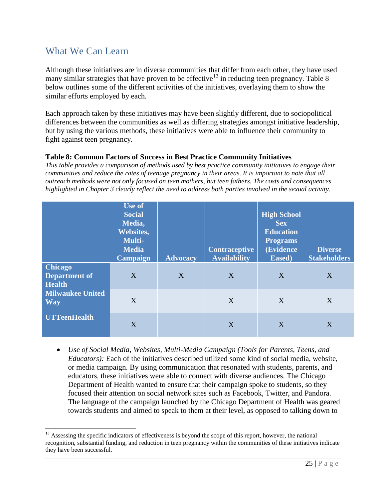### <span id="page-32-0"></span>What We Can Learn

Although these initiatives are in diverse communities that differ from each other, they have used many similar strategies that have proven to be effective<sup>[13](#page-32-1)</sup> in reducing teen pregnancy. Table 8 below outlines some of the different activities of the initiatives, overlaying them to show the similar efforts employed by each.

Each approach taken by these initiatives may have been slightly different, due to sociopolitical differences between the communities as well as differing strategies amongst initiative leadership, but by using the various methods, these initiatives were able to influence their community to fight against teen pregnancy.

#### **Table 8: Common Factors of Success in Best Practice Community Initiatives**

*This table provides a comparison of methods used by best practice community initiatives to engage their communities and reduce the rates of teenage pregnancy in their areas. It is important to note that all outreach methods were not only focused on teen mothers, but teen fathers. The costs and consequences highlighted in Chapter 3 clearly reflect the need to address both parties involved in the sexual activity.*

|                                                         | <b>Use of</b><br><b>Social</b><br>Media,<br>Websites,<br><b>Multi-</b><br><b>Media</b><br><b>Campaign</b> | <b>Advocacy</b> | <b>Contraceptive</b><br><b>Availability</b> | <b>High School</b><br><b>Sex</b><br><b>Education</b><br><b>Programs</b><br>(Evidence<br>Eased) | <b>Diverse</b><br><b>Stakeholders</b> |
|---------------------------------------------------------|-----------------------------------------------------------------------------------------------------------|-----------------|---------------------------------------------|------------------------------------------------------------------------------------------------|---------------------------------------|
| <b>Chicago</b><br><b>Department of</b><br><b>Health</b> | X                                                                                                         | X               | X                                           | X                                                                                              | X                                     |
| <b>Milwaukee United</b><br><b>Way</b>                   | X                                                                                                         |                 | X                                           | X                                                                                              | X                                     |
| <b>UTTeenHealth</b>                                     | X                                                                                                         |                 | X                                           | X                                                                                              | X                                     |

• *Use of Social Media, Websites, Multi-Media Campaign (Tools for Parents, Teens, and Educators):* Each of the initiatives described utilized some kind of social media, website, or media campaign. By using communication that resonated with students, parents, and educators, these initiatives were able to connect with diverse audiences. The Chicago Department of Health wanted to ensure that their campaign spoke to students, so they focused their attention on social network sites such as Facebook, Twitter, and Pandora. The language of the campaign launched by the Chicago Department of Health was geared towards students and aimed to speak to them at their level, as opposed to talking down to

<span id="page-32-1"></span><sup>&</sup>lt;sup>13</sup> Assessing the specific indicators of effectiveness is beyond the scope of this report, however, the national recognition, substantial funding, and reduction in teen pregnancy within the communities of these initiatives indicate they have been successful.  $\overline{a}$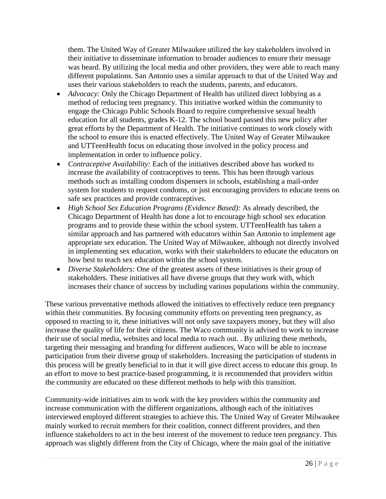them. The United Way of Greater Milwaukee utilized the key stakeholders involved in their initiative to disseminate information to broader audiences to ensure their message was heard. By utilizing the local media and other providers, they were able to reach many different populations. San Antonio uses a similar approach to that of the United Way and uses their various stakeholders to reach the students, parents, and educators.

- *Advocacy:* Only the Chicago Department of Health has utilized direct lobbying as a method of reducing teen pregnancy. This initiative worked within the community to engage the Chicago Public Schools Board to require comprehensive sexual health education for all students, grades K-12. The school board passed this new policy after great efforts by the Department of Health. The initiative continues to work closely with the school to ensure this is enacted effectively. The United Way of Greater Milwaukee and UTTeenHealth focus on educating those involved in the policy process and implementation in order to influence policy.
- *Contraceptive Availability:* Each of the initiatives described above has worked to increase the availability of contraceptives to teens. This has been through various methods such as installing condom dispensers in schools, establishing a mail-order system for students to request condoms, or just encouraging providers to educate teens on safe sex practices and provide contraceptives.
- *High School Sex Education Programs (Evidence Based):* As already described, the Chicago Department of Health has done a lot to encourage high school sex education programs and to provide these within the school system. UTTeenHealth has taken a similar approach and has partnered with educators within San Antonio to implement age appropriate sex education. The United Way of Milwaukee, although not directly involved in implementing sex education, works with their stakeholders to educate the educators on how best to teach sex education within the school system.
- *Diverse Stakeholders:* One of the greatest assets of these initiatives is their group of stakeholders. These initiatives all have diverse groups that they work with, which increases their chance of success by including various populations within the community.

These various preventative methods allowed the initiatives to effectively reduce teen pregnancy within their communities. By focusing community efforts on preventing teen pregnancy, as opposed to reacting to it, these initiatives will not only save taxpayers money, but they will also increase the quality of life for their citizens. The Waco community is advised to work to increase their use of social media, websites and local media to reach out. . By utilizing these methods, targeting their messaging and branding for different audiences, Waco will be able to increase participation from their diverse group of stakeholders. Increasing the participation of students in this process will be greatly beneficial to in that it will give direct access to educate this group. In an effort to move to best practice-based programming, it is recommended that providers within the community are educated on these different methods to help with this transition.

Community-wide initiatives aim to work with the key providers within the community and increase communication with the different organizations, although each of the initiatives interviewed employed different strategies to achieve this. The United Way of Greater Milwaukee mainly worked to recruit members for their coalition, connect different providers, and then influence stakeholders to act in the best interest of the movement to reduce teen pregnancy. This approach was slightly different from the City of Chicago, where the main goal of the initiative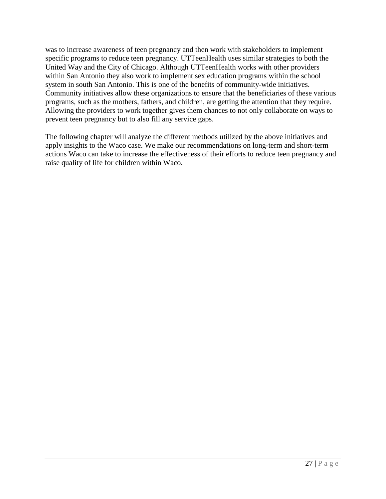was to increase awareness of teen pregnancy and then work with stakeholders to implement specific programs to reduce teen pregnancy. UTTeenHealth uses similar strategies to both the United Way and the City of Chicago. Although UTTeenHealth works with other providers within San Antonio they also work to implement sex education programs within the school system in south San Antonio. This is one of the benefits of community-wide initiatives. Community initiatives allow these organizations to ensure that the beneficiaries of these various programs, such as the mothers, fathers, and children, are getting the attention that they require. Allowing the providers to work together gives them chances to not only collaborate on ways to prevent teen pregnancy but to also fill any service gaps.

The following chapter will analyze the different methods utilized by the above initiatives and apply insights to the Waco case. We make our recommendations on long-term and short-term actions Waco can take to increase the effectiveness of their efforts to reduce teen pregnancy and raise quality of life for children within Waco.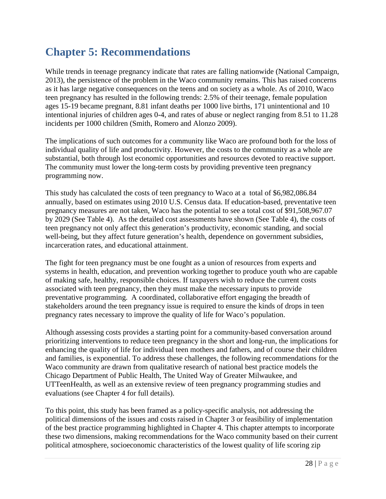# <span id="page-35-0"></span>**Chapter 5: Recommendations**

While trends in teenage pregnancy indicate that rates are falling nationwide (National Campaign, 2013), the persistence of the problem in the Waco community remains. This has raised concerns as it has large negative consequences on the teens and on society as a whole. As of 2010, Waco teen pregnancy has resulted in the following trends: 2.5% of their teenage, female population ages 15-19 became pregnant, 8.81 infant deaths per 1000 live births, 171 unintentional and 10 intentional injuries of children ages 0-4, and rates of abuse or neglect ranging from 8.51 to 11.28 incidents per 1000 children (Smith, Romero and Alonzo 2009).

The implications of such outcomes for a community like Waco are profound both for the loss of individual quality of life and productivity. However, the costs to the community as a whole are substantial, both through lost economic opportunities and resources devoted to reactive support. The community must lower the long-term costs by providing preventive teen pregnancy programming now.

This study has calculated the costs of teen pregnancy to Waco at a total of \$6,982,086.84 annually, based on estimates using 2010 U.S. Census data. If education-based, preventative teen pregnancy measures are not taken, Waco has the potential to see a total cost of \$91,508,967.07 by 2029 (See Table 4). As the detailed cost assessments have shown (See Table 4), the costs of teen pregnancy not only affect this generation's productivity, economic standing, and social well-being, but they affect future generation's health, dependence on government subsidies, incarceration rates, and educational attainment.

The fight for teen pregnancy must be one fought as a union of resources from experts and systems in health, education, and prevention working together to produce youth who are capable of making safe, healthy, responsible choices. If taxpayers wish to reduce the current costs associated with teen pregnancy, then they must make the necessary inputs to provide preventative programming. A coordinated, collaborative effort engaging the breadth of stakeholders around the teen pregnancy issue is required to ensure the kinds of drops in teen pregnancy rates necessary to improve the quality of life for Waco's population.

Although assessing costs provides a starting point for a community-based conversation around prioritizing interventions to reduce teen pregnancy in the short and long-run, the implications for enhancing the quality of life for individual teen mothers and fathers, and of course their children and families, is exponential. To address these challenges, the following recommendations for the Waco community are drawn from qualitative research of national best practice models the Chicago Department of Public Health, The United Way of Greater Milwaukee, and UTTeenHealth, as well as an extensive review of teen pregnancy programming studies and evaluations (see Chapter 4 for full details).

To this point, this study has been framed as a policy-specific analysis, not addressing the political dimensions of the issues and costs raised in Chapter 3 or feasibility of implementation of the best practice programming highlighted in Chapter 4. This chapter attempts to incorporate these two dimensions, making recommendations for the Waco community based on their current political atmosphere, socioeconomic characteristics of the lowest quality of life scoring zip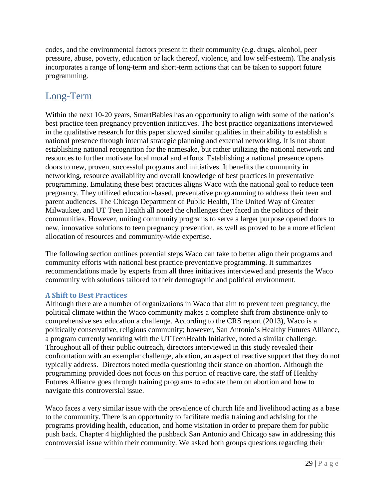codes, and the environmental factors present in their community (e.g. drugs, alcohol, peer pressure, abuse, poverty, education or lack thereof, violence, and low self-esteem). The analysis incorporates a range of long-term and short-term actions that can be taken to support future programming.

### <span id="page-36-0"></span>Long-Term

Within the next 10-20 years, SmartBabies has an opportunity to align with some of the nation's best practice teen pregnancy prevention initiatives. The best practice organizations interviewed in the qualitative research for this paper showed similar qualities in their ability to establish a national presence through internal strategic planning and external networking. It is not about establishing national recognition for the namesake, but rather utilizing the national network and resources to further motivate local moral and efforts. Establishing a national presence opens doors to new, proven, successful programs and initiatives. It benefits the community in networking, resource availability and overall knowledge of best practices in preventative programming. Emulating these best practices aligns Waco with the national goal to reduce teen pregnancy. They utilized education-based, preventative programming to address their teen and parent audiences. The Chicago Department of Public Health, The United Way of Greater Milwaukee, and UT Teen Health all noted the challenges they faced in the politics of their communities. However, uniting community programs to serve a larger purpose opened doors to new, innovative solutions to teen pregnancy prevention, as well as proved to be a more efficient allocation of resources and community-wide expertise.

The following section outlines potential steps Waco can take to better align their programs and community efforts with national best practice preventative programming. It summarizes recommendations made by experts from all three initiatives interviewed and presents the Waco community with solutions tailored to their demographic and political environment.

### **A Shift to Best Practices**

Although there are a number of organizations in Waco that aim to prevent teen pregnancy, the political climate within the Waco community makes a complete shift from abstinence-only to comprehensive sex education a challenge. According to the CRS report (2013), Waco is a politically conservative, religious community; however, San Antonio's Healthy Futures Alliance, a program currently working with the UTTeenHealth Initiative, noted a similar challenge. Throughout all of their public outreach, directors interviewed in this study revealed their confrontation with an exemplar challenge, abortion, an aspect of reactive support that they do not typically address. Directors noted media questioning their stance on abortion. Although the programming provided does not focus on this portion of reactive care, the staff of Healthy Futures Alliance goes through training programs to educate them on abortion and how to navigate this controversial issue.

Waco faces a very similar issue with the prevalence of church life and livelihood acting as a base to the community. There is an opportunity to facilitate media training and advising for the programs providing health, education, and home visitation in order to prepare them for public push back. Chapter 4 highlighted the pushback San Antonio and Chicago saw in addressing this controversial issue within their community. We asked both groups questions regarding their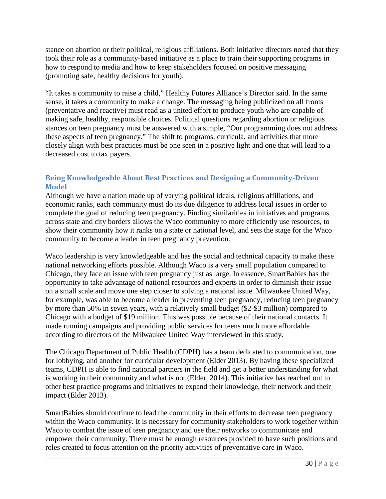stance on abortion or their political, religious affiliations. Both initiative directors noted that they took their role as a community-based initiative as a place to train their supporting programs in how to respond to media and how to keep stakeholders focused on positive messaging (promoting safe, healthy decisions for youth).

"It takes a community to raise a child," Healthy Futures Alliance's Director said. In the same sense, it takes a community to make a change. The messaging being publicized on all fronts (preventative and reactive) must read as a united effort to produce youth who are capable of making safe, healthy, responsible choices. Political questions regarding abortion or religious stances on teen pregnancy must be answered with a simple, "Our programming does not address these aspects of teen pregnancy." The shift to programs, curricula, and activities that more closely align with best practices must be one seen in a positive light and one that will lead to a decreased cost to tax payers.

### **Being Knowledgeable About Best Practices and Designing a Community-Driven Model**

Although we have a nation made up of varying political ideals, religious affiliations, and economic ranks, each community must do its due diligence to address local issues in order to complete the goal of reducing teen pregnancy. Finding similarities in initiatives and programs across state and city borders allows the Waco community to more efficiently use resources, to show their community how it ranks on a state or national level, and sets the stage for the Waco community to become a leader in teen pregnancy prevention.

Waco leadership is very knowledgeable and has the social and technical capacity to make these national networking efforts possible. Although Waco is a very small population compared to Chicago, they face an issue with teen pregnancy just as large. In essence, SmartBabies has the opportunity to take advantage of national resources and experts in order to diminish their issue on a small scale and move one step closer to solving a national issue. Milwaukee United Way, for example, was able to become a leader in preventing teen pregnancy, reducing teen pregnancy by more than 50% in seven years, with a relatively small budget (\$2-\$3 million) compared to Chicago with a budget of \$19 million. This was possible because of their national contacts. It made running campaigns and providing public services for teens much more affordable according to directors of the Milwaukee United Way interviewed in this study.

The Chicago Department of Public Health (CDPH) has a team dedicated to communication, one for lobbying, and another for curricular development (Elder 2013). By having these specialized teams, CDPH is able to find national partners in the field and get a better understanding for what is working in their community and what is not (Elder, 2014). This initiative has reached out to other best practice programs and initiatives to expand their knowledge, their network and their impact (Elder 2013).

SmartBabies should continue to lead the community in their efforts to decrease teen pregnancy within the Waco community. It is necessary for community stakeholders to work together within Waco to combat the issue of teen pregnancy and use their networks to communicate and empower their community. There must be enough resources provided to have such positions and roles created to focus attention on the priority activities of preventative care in Waco.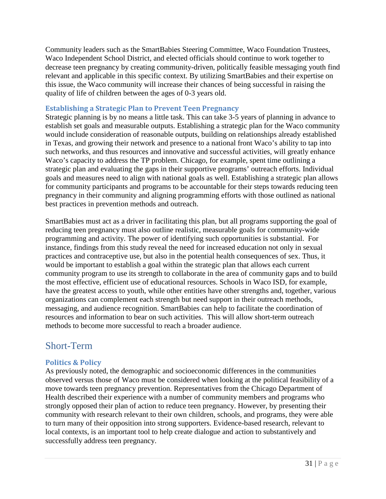Community leaders such as the SmartBabies Steering Committee, Waco Foundation Trustees, Waco Independent School District, and elected officials should continue to work together to decrease teen pregnancy by creating community-driven, politically feasible messaging youth find relevant and applicable in this specific context. By utilizing SmartBabies and their expertise on this issue, the Waco community will increase their chances of being successful in raising the quality of life of children between the ages of 0-3 years old.

#### **Establishing a Strategic Plan to Prevent Teen Pregnancy**

Strategic planning is by no means a little task. This can take 3-5 years of planning in advance to establish set goals and measurable outputs. Establishing a strategic plan for the Waco community would include consideration of reasonable outputs, building on relationships already established in Texas, and growing their network and presence to a national front Waco's ability to tap into such networks, and thus resources and innovative and successful activities, will greatly enhance Waco's capacity to address the TP problem. Chicago, for example, spent time outlining a strategic plan and evaluating the gaps in their supportive programs' outreach efforts. Individual goals and measures need to align with national goals as well. Establishing a strategic plan allows for community participants and programs to be accountable for their steps towards reducing teen pregnancy in their community and aligning programming efforts with those outlined as national best practices in prevention methods and outreach.

SmartBabies must act as a driver in facilitating this plan, but all programs supporting the goal of reducing teen pregnancy must also outline realistic, measurable goals for community-wide programming and activity. The power of identifying such opportunities is substantial. For instance, findings from this study reveal the need for increased education not only in sexual practices and contraceptive use, but also in the potential health consequences of sex. Thus, it would be important to establish a goal within the strategic plan that allows each current community program to use its strength to collaborate in the area of community gaps and to build the most effective, efficient use of educational resources. Schools in Waco ISD, for example, have the greatest access to youth, while other entities have other strengths and, together, various organizations can complement each strength but need support in their outreach methods, messaging, and audience recognition. SmartBabies can help to facilitate the coordination of resources and information to bear on such activities. This will allow short-term outreach methods to become more successful to reach a broader audience.

### <span id="page-38-0"></span>Short-Term

### **Politics & Policy**

As previously noted, the demographic and socioeconomic differences in the communities observed versus those of Waco must be considered when looking at the political feasibility of a move towards teen pregnancy prevention. Representatives from the Chicago Department of Health described their experience with a number of community members and programs who strongly opposed their plan of action to reduce teen pregnancy. However, by presenting their community with research relevant to their own children, schools, and programs, they were able to turn many of their opposition into strong supporters. Evidence-based research, relevant to local contexts, is an important tool to help create dialogue and action to substantively and successfully address teen pregnancy.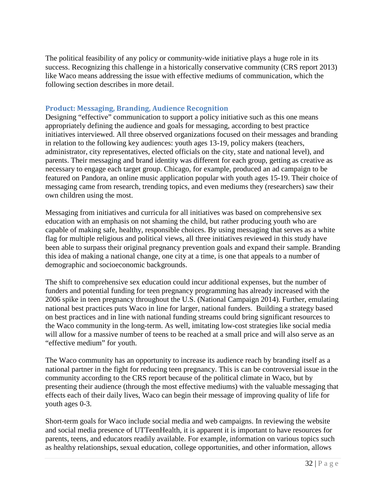The political feasibility of any policy or community-wide initiative plays a huge role in its success. Recognizing this challenge in a historically conservative community (CRS report 2013) like Waco means addressing the issue with effective mediums of communication, which the following section describes in more detail.

### **Product: Messaging, Branding, Audience Recognition**

Designing "effective" communication to support a policy initiative such as this one means appropriately defining the audience and goals for messaging, according to best practice initiatives interviewed. All three observed organizations focused on their messages and branding in relation to the following key audiences: youth ages 13-19, policy makers (teachers, administrator, city representatives, elected officials on the city, state and national level), and parents. Their messaging and brand identity was different for each group, getting as creative as necessary to engage each target group. Chicago, for example, produced an ad campaign to be featured on Pandora, an online music application popular with youth ages 15-19. Their choice of messaging came from research, trending topics, and even mediums they (researchers) saw their own children using the most.

Messaging from initiatives and curricula for all initiatives was based on comprehensive sex education with an emphasis on not shaming the child, but rather producing youth who are capable of making safe, healthy, responsible choices. By using messaging that serves as a white flag for multiple religious and political views, all three initiatives reviewed in this study have been able to surpass their original pregnancy prevention goals and expand their sample. Branding this idea of making a national change, one city at a time, is one that appeals to a number of demographic and socioeconomic backgrounds.

The shift to comprehensive sex education could incur additional expenses, but the number of funders and potential funding for teen pregnancy programming has already increased with the 2006 spike in teen pregnancy throughout the U.S. (National Campaign 2014). Further, emulating national best practices puts Waco in line for larger, national funders. Building a strategy based on best practices and in line with national funding streams could bring significant resources to the Waco community in the long-term. As well, imitating low-cost strategies like social media will allow for a massive number of teens to be reached at a small price and will also serve as an "effective medium" for youth.

The Waco community has an opportunity to increase its audience reach by branding itself as a national partner in the fight for reducing teen pregnancy. This is can be controversial issue in the community according to the CRS report because of the political climate in Waco, but by presenting their audience (through the most effective mediums) with the valuable messaging that effects each of their daily lives, Waco can begin their message of improving quality of life for youth ages 0-3.

Short-term goals for Waco include social media and web campaigns. In reviewing the website and social media presence of UTTeenHealth, it is apparent it is important to have resources for parents, teens, and educators readily available. For example, information on various topics such as healthy relationships, sexual education, college opportunities, and other information, allows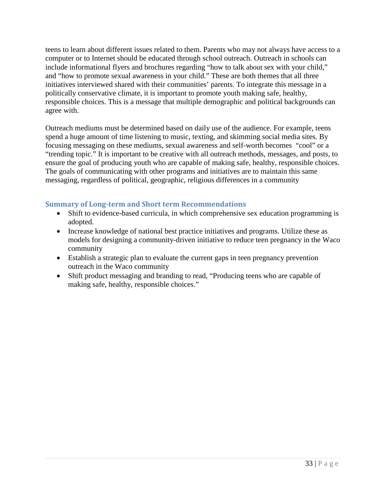teens to learn about different issues related to them. Parents who may not always have access to a computer or to Internet should be educated through school outreach. Outreach in schools can include informational flyers and brochures regarding "how to talk about sex with your child," and "how to promote sexual awareness in your child." These are both themes that all three initiatives interviewed shared with their communities' parents. To integrate this message in a politically conservative climate, it is important to promote youth making safe, healthy, responsible choices. This is a message that multiple demographic and political backgrounds can agree with.

Outreach mediums must be determined based on daily use of the audience. For example, teens spend a huge amount of time listening to music, texting, and skimming social media sites. By focusing messaging on these mediums, sexual awareness and self-worth becomes "cool" or a "trending topic." It is important to be creative with all outreach methods, messages, and posts, to ensure the goal of producing youth who are capable of making safe, healthy, responsible choices. The goals of communicating with other programs and initiatives are to maintain this same messaging, regardless of political, geographic, religious differences in a community

### **Summary of Long-term and Short term Recommendations**

- Shift to evidence-based curricula, in which comprehensive sex education programming is adopted.
- Increase knowledge of national best practice initiatives and programs. Utilize these as models for designing a community-driven initiative to reduce teen pregnancy in the Waco community
- Establish a strategic plan to evaluate the current gaps in teen pregnancy prevention outreach in the Waco community
- Shift product messaging and branding to read, "Producing teens who are capable of making safe, healthy, responsible choices."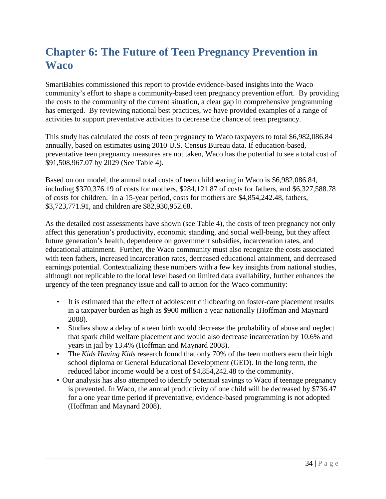# <span id="page-41-0"></span>**Chapter 6: The Future of Teen Pregnancy Prevention in Waco**

SmartBabies commissioned this report to provide evidence-based insights into the Waco community's effort to shape a community-based teen pregnancy prevention effort. By providing the costs to the community of the current situation, a clear gap in comprehensive programming has emerged. By reviewing national best practices, we have provided examples of a range of activities to support preventative activities to decrease the chance of teen pregnancy.

This study has calculated the costs of teen pregnancy to Waco taxpayers to total \$6,982,086.84 annually, based on estimates using 2010 U.S. Census Bureau data. If education-based, preventative teen pregnancy measures are not taken, Waco has the potential to see a total cost of \$91,508,967.07 by 2029 (See Table 4).

Based on our model, the annual total costs of teen childbearing in Waco is \$6,982,086.84, including \$370,376.19 of costs for mothers, \$284,121.87 of costs for fathers, and \$6,327,588.78 of costs for children. In a 15-year period, costs for mothers are \$4,854,242.48, fathers, \$3,723,771.91, and children are \$82,930,952.68.

As the detailed cost assessments have shown (see Table 4), the costs of teen pregnancy not only affect this generation's productivity, economic standing, and social well-being, but they affect future generation's health, dependence on government subsidies, incarceration rates, and educational attainment. Further, the Waco community must also recognize the costs associated with teen fathers, increased incarceration rates, decreased educational attainment, and decreased earnings potential. Contextualizing these numbers with a few key insights from national studies, although not replicable to the local level based on limited data availability, further enhances the urgency of the teen pregnancy issue and call to action for the Waco community:

- It is estimated that the effect of adolescent childbearing on foster-care placement results in a taxpayer burden as high as \$900 million a year nationally (Hoffman and Maynard 2008).
- Studies show a delay of a teen birth would decrease the probability of abuse and neglect that spark child welfare placement and would also decrease incarceration by 10.6% and years in jail by 13.4% (Hoffman and Maynard 2008).
- The *Kids Having Kids* research found that only 70% of the teen mothers earn their high school diploma or General Educational Development (GED). In the long term, the reduced labor income would be a cost of \$4,854,242.48 to the community.
- Our analysis has also attempted to identify potential savings to Waco if teenage pregnancy is prevented. In Waco, the annual productivity of one child will be decreased by \$736.47 for a one year time period if preventative, evidence-based programming is not adopted (Hoffman and Maynard 2008).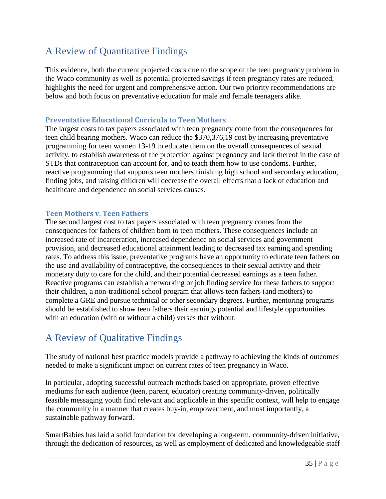### <span id="page-42-0"></span>A Review of Quantitative Findings

This evidence, both the current projected costs due to the scope of the teen pregnancy problem in the Waco community as well as potential projected savings if teen pregnancy rates are reduced, highlights the need for urgent and comprehensive action. Our two priority recommendations are below and both focus on preventative education for male and female teenagers alike.

### **Preventative Educational Curricula to Teen Mothers**

The largest costs to tax payers associated with teen pregnancy come from the consequences for teen child bearing mothers. Waco can reduce the \$370,376,19 cost by increasing preventative programming for teen women 13-19 to educate them on the overall consequences of sexual activity, to establish awareness of the protection against pregnancy and lack thereof in the case of STDs that contraception can account for, and to teach them how to use condoms. Further, reactive programming that supports teen mothers finishing high school and secondary education, finding jobs, and raising children will decrease the overall effects that a lack of education and healthcare and dependence on social services causes.

### **Teen Mothers v. Teen Fathers**

The second largest cost to tax payers associated with teen pregnancy comes from the consequences for fathers of children born to teen mothers. These consequences include an increased rate of incarceration, increased dependence on social services and government provision, and decreased educational attainment leading to decreased tax earning and spending rates. To address this issue, preventative programs have an opportunity to educate teen fathers on the use and availability of contraceptive, the consequences to their sexual activity and their monetary duty to care for the child, and their potential decreased earnings as a teen father. Reactive programs can establish a networking or job finding service for these fathers to support their children, a non-traditional school program that allows teen fathers (and mothers) to complete a GRE and pursue technical or other secondary degrees. Further, mentoring programs should be established to show teen fathers their earnings potential and lifestyle opportunities with an education (with or without a child) verses that without.

### <span id="page-42-1"></span>A Review of Qualitative Findings

The study of national best practice models provide a pathway to achieving the kinds of outcomes needed to make a significant impact on current rates of teen pregnancy in Waco.

In particular, adopting successful outreach methods based on appropriate, proven effective mediums for each audience (teen, parent, educator) creating community-driven, politically feasible messaging youth find relevant and applicable in this specific context, will help to engage the community in a manner that creates buy-in, empowerment, and most importantly, a sustainable pathway forward.

SmartBabies has laid a solid foundation for developing a long-term, community-driven initiative, through the dedication of resources, as well as employment of dedicated and knowledgeable staff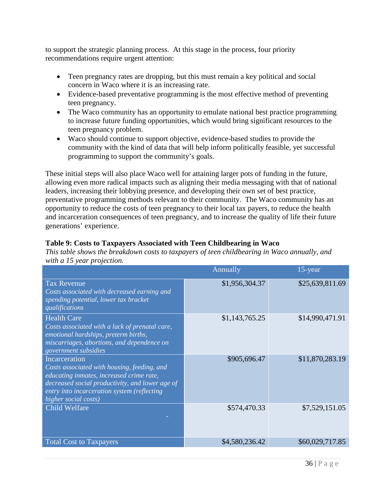to support the strategic planning process. At this stage in the process, four priority recommendations require urgent attention:

- Teen pregnancy rates are dropping, but this must remain a key political and social concern in Waco where it is an increasing rate.
- Evidence-based preventative programming is the most effective method of preventing teen pregnancy.
- The Waco community has an opportunity to emulate national best practice programming to increase future funding opportunities, which would bring significant resources to the teen pregnancy problem.
- Waco should continue to support objective, evidence-based studies to provide the community with the kind of data that will help inform politically feasible, yet successful programming to support the community's goals.

These initial steps will also place Waco well for attaining larger pots of funding in the future, allowing even more radical impacts such as aligning their media messaging with that of national leaders, increasing their lobbying presence, and developing their own set of best practice, preventative programming methods relevant to their community. The Waco community has an opportunity to reduce the costs of teen pregnancy to their local tax payers, to reduce the health and incarceration consequences of teen pregnancy, and to increase the quality of life their future generations' experience.

### **Table 9: Costs to Taxpayers Associated with Teen Childbearing in Waco**

*This table shows the breakdown costs to taxpayers of teen childbearing in Waco annually, and with a 15 year projection.*

|                                                                                                                                                                                                                                    | Annually       | 15-year         |
|------------------------------------------------------------------------------------------------------------------------------------------------------------------------------------------------------------------------------------|----------------|-----------------|
| <b>Tax Revenue</b><br>Costs associated with decreased earning and<br>spending potential, lower tax bracket<br>qualifications                                                                                                       | \$1,956,304.37 | \$25,639,811.69 |
| <b>Health Care</b><br>Costs associated with a lack of prenatal care,<br>emotional hardships, preterm births,<br>miscarriages, abortions, and dependence on<br>government subsidies                                                 | \$1,143,765.25 | \$14,990,471.91 |
| Incarceration<br>Costs associated with housing, feeding, and<br>educating inmates, increased crime rate,<br>decreased social productivity, and lower age of<br>entry into incarceration system (reflecting<br>higher social costs) | \$905,696.47   | \$11,870,283.19 |
| <b>Child Welfare</b>                                                                                                                                                                                                               | \$574,470.33   | \$7,529,151.05  |
| <b>Total Cost to Taxpayers</b>                                                                                                                                                                                                     | \$4,580,236.42 | \$60,029,717.85 |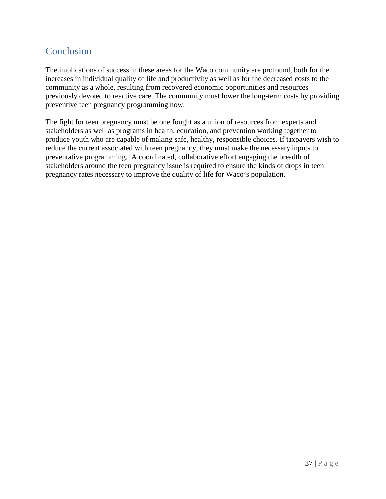### <span id="page-44-0"></span>**Conclusion**

The implications of success in these areas for the Waco community are profound, both for the increases in individual quality of life and productivity as well as for the decreased costs to the community as a whole, resulting from recovered economic opportunities and resources previously devoted to reactive care. The community must lower the long-term costs by providing preventive teen pregnancy programming now.

The fight for teen pregnancy must be one fought as a union of resources from experts and stakeholders as well as programs in health, education, and prevention working together to produce youth who are capable of making safe, healthy, responsible choices. If taxpayers wish to reduce the current associated with teen pregnancy, they must make the necessary inputs to preventative programming. A coordinated, collaborative effort engaging the breadth of stakeholders around the teen pregnancy issue is required to ensure the kinds of drops in teen pregnancy rates necessary to improve the quality of life for Waco's population.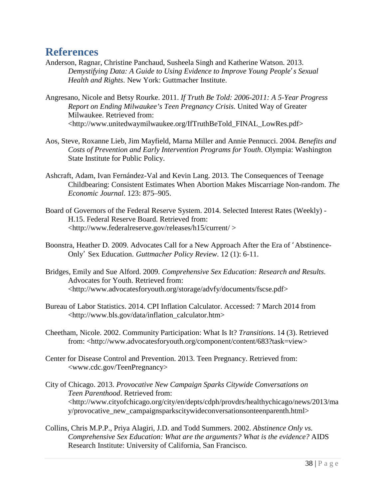### <span id="page-45-0"></span>**References**

- Anderson, Ragnar, Christine Panchaud, Susheela Singh and Katherine Watson. 2013. *Demystifying Data: A Guide to Using Evidence to Improve Young People's Sexual Health and Rights*. New York: Guttmacher Institute.
- Angresano, Nicole and Betsy Rourke. 2011. *If Truth Be Told: 2006-2011: A 5-Year Progress Report on Ending Milwaukee's Teen Pregnancy Crisis.* United Way of Greater Milwaukee. Retrieved from: <http://www.unitedwaymilwaukee.org/IfTruthBeTold\_FINAL\_LowRes.pdf>
- Aos, Steve, Roxanne Lieb, Jim Mayfield, Marna Miller and Annie Pennucci. 2004. *Benefits and Costs of Prevention and Early Intervention Programs for Youth*. Olympia: Washington State Institute for Public Policy.
- Ashcraft, Adam, Ivan Fernández-Val and Kevin Lang. 2013. The Consequences of Teenage Childbearing: Consistent Estimates When Abortion Makes Miscarriage Non-random. *The Economic Journal*. 123: 875–905.
- Board of Governors of the Federal Reserve System. 2014. Selected Interest Rates (Weekly) H.15. Federal Reserve Board. Retrieved from: <http://www.federalreserve.gov/releases/h15/current/ >
- Boonstra, Heather D. 2009. Advocates Call for a New Approach After the Era of 'Abstinence-Only' Sex Education. *Guttmacher Policy Review*. 12 (1): 6-11.
- Bridges, Emily and Sue Alford. 2009. *Comprehensive Sex Education: Research and Results*. Advocates for Youth. Retrieved from: <http://www.advocatesforyouth.org/storage/advfy/documents/fscse.pdf>
- Bureau of Labor Statistics. 2014. CPI Inflation Calculator. Accessed: 7 March 2014 from [<http://www.bls.gov/data/inflation\\_calculator.htm>](http://www.bls.gov/data/inflation_calculator.htm)
- Cheetham, Nicole. 2002. Community Participation: What Is It? *Transitions*. 14 (3). Retrieved from: <http://www.advocatesforyouth.org/component/content/683?task=view>
- Center for Disease Control and Prevention. 2013. Teen Pregnancy. Retrieved from: <www.cdc.gov/TeenPregnancy>
- City of Chicago. 2013. *Provocative New Campaign Sparks Citywide Conversations on Teen Parenthood*. Retrieved from: <http://www.cityofchicago.org/city/en/depts/cdph/provdrs/healthychicago/news/2013/ma y/provocative\_new\_campaignsparkscitywideconversationsonteenparenth.html>
- Collins, Chris M.P.P., Priya Alagiri, J.D. and Todd Summers. 2002. *Abstinence Only vs. Comprehensive Sex Education: What are the arguments? What is the evidence?* AIDS Research Institute: University of California, San Francisco*.*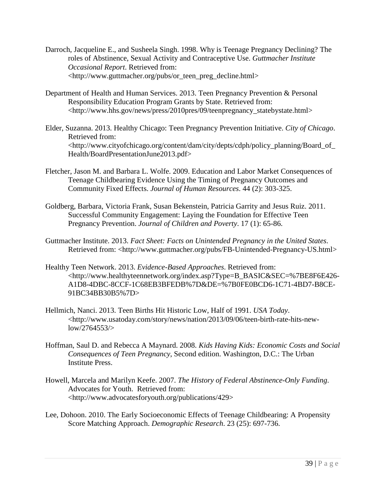- Darroch, Jacqueline E., and Susheela Singh. 1998. Why is Teenage Pregnancy Declining? The roles of Abstinence, Sexual Activity and Contraceptive Use. *Guttmacher Institute Occasional Report*. Retrieved from: <http://www.guttmacher.org/pubs/or\_teen\_preg\_decline.html>
- Department of Health and Human Services. 2013. Teen Pregnancy Prevention & Personal Responsibility Education Program Grants by State. Retrieved from: <http://www.hhs.gov/news/press/2010pres/09/teenpregnancy\_statebystate.html>
- Elder, Suzanna. 2013. Healthy Chicago: Teen Pregnancy Prevention Initiative. *City of Chicago*. Retrieved from: <http://www.cityofchicago.org/content/dam/city/depts/cdph/policy\_planning/Board\_of\_ Health/BoardPresentationJune2013.pdf>
- Fletcher, Jason M. and Barbara L. Wolfe. 2009. Education and Labor Market Consequences of Teenage Childbearing Evidence Using the Timing of Pregnancy Outcomes and Community Fixed Effects. *Journal of Human Resources*. 44 (2): 303-325.
- Goldberg, Barbara, Victoria Frank, Susan Bekenstein, Patricia Garrity and Jesus Ruiz. 2011. Successful Community Engagement: Laying the Foundation for Effective Teen Pregnancy Prevention. *Journal of Children and Poverty*. 17 (1): 65-86.
- Guttmacher Institute. 2013. *Fact Sheet: Facts on Unintended Pregnancy in the United States*. Retrieved from: <http://www.guttmacher.org/pubs/FB-Unintended-Pregnancy-US.html>
- Healthy Teen Network. 2013. *Evidence-Based Approaches*. Retrieved from: <http://www.healthyteennetwork.org/index.asp?Type=B\_BASIC&SEC=%7BE8F6E426- A1D8-4DBC-8CCF-1C68EB3BFEDB%7D&DE=%7B0FE0BCD6-1C71-4BD7-B8CE-91BC34BB30B5%7D>
- Hellmich, Nanci. 2013. Teen Births Hit Historic Low, Half of 1991. *USA Today*. <http://www.usatoday.com/story/news/nation/2013/09/06/teen-birth-rate-hits-newlow/2764553/>
- Hoffman, Saul D. and Rebecca A Maynard. 2008. *Kids Having Kids: Economic Costs and Social Consequences of Teen Pregnancy*, Second edition. Washington, D.C.: The Urban Institute Press.
- Howell, Marcela and Marilyn Keefe. 2007. *The History of Federal Abstinence-Only Funding*. Advocates for Youth. Retrieved from: <http://www.advocatesforyouth.org/publications/429>
- Lee, Dohoon. 2010. The Early Socioeconomic Effects of Teenage Childbearing: A Propensity Score Matching Approach. *Demographic Research*. 23 (25): 697-736.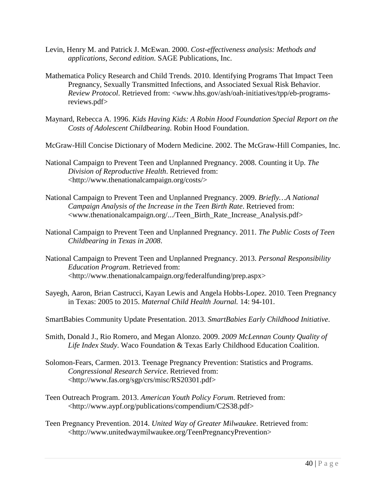- Levin, Henry M. and Patrick J. McEwan. 2000. *Cost-effectiveness analysis: Methods and applications, Second edition*. SAGE Publications, Inc.
- Mathematica Policy Research and Child Trends. 2010. Identifying Programs That Impact Teen Pregnancy, Sexually Transmitted Infections, and Associated Sexual Risk Behavior. *Review Protocol*. Retrieved from: <www.hhs.gov/ash/oah-initiatives/tpp/eb-programsreviews.pdf>
- Maynard, Rebecca A. 1996. *Kids Having Kids: A Robin Hood Foundation Special Report on the Costs of Adolescent Childbearing*. Robin Hood Foundation.
- McGraw-Hill Concise Dictionary of Modern Medicine. 2002. The McGraw-Hill Companies, Inc.
- National Campaign to Prevent Teen and Unplanned Pregnancy. 2008. Counting it Up. *The Division of Reproductive Health*. Retrieved from: [<http://www.thenationalcampaign.org/costs/>](http://www.thenationalcampaign.org/costs/)
- National Campaign to Prevent Teen and Unplanned Pregnancy. 2009. *Briefly…A National Campaign Analysis of the Increase in the Teen Birth Rate*. Retrieved from: [<www.thenationalcampaign.org/.../Teen\\_Birth\\_Rate\\_Increase\\_Analysis.pdf>](http://www.thenationalcampaign.org/.../Teen_Birth_Rate_Increase_Analysis.pdf)
- National Campaign to Prevent Teen and Unplanned Pregnancy. 2011. *The Public Costs of Teen Childbearing in Texas in 2008*.
- National Campaign to Prevent Teen and Unplanned Pregnancy. 2013. *Personal Responsibility Education Program*. Retrieved from: [<http://www.thenationalcampaign.org/federalfunding/prep.aspx>](http://www.thenationalcampaign.org/federalfunding/prep.aspx)
- Sayegh, Aaron, Brian Castrucci, Kayan Lewis and Angela Hobbs-Lopez. 2010. Teen Pregnancy in Texas: 2005 to 2015. *Maternal Child Health Journal.* 14: 94-101.
- SmartBabies Community Update Presentation. 2013. *SmartBabies Early Childhood Initiative*.
- Smith, Donald J., Rio Romero, and Megan Alonzo. 2009. *2009 McLennan County Quality of Life Index Study*. Waco Foundation & Texas Early Childhood Education Coalition.
- Solomon-Fears, Carmen. 2013. Teenage Pregnancy Prevention: Statistics and Programs. *Congressional Research Service*. Retrieved from: <http://www.fas.org/sgp/crs/misc/RS20301.pdf>
- Teen Outreach Program. 2013. *American Youth Policy Forum*. Retrieved from: <http://www.aypf.org/publications/compendium/C2S38.pdf>
- Teen Pregnancy Prevention. 2014. *United Way of Greater Milwaukee*. Retrieved from: <http://www.unitedwaymilwaukee.org/TeenPregnancyPrevention>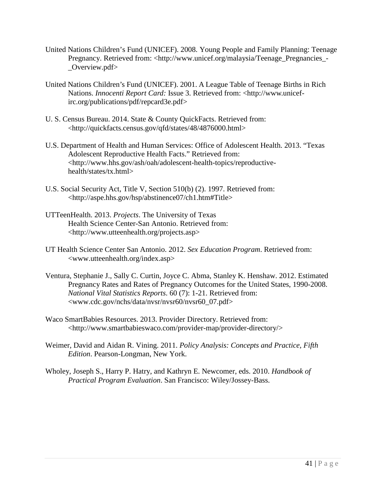- United Nations Children's Fund (UNICEF). 2008. Young People and Family Planning: Teenage Pregnancy. Retrieved from: <http://www.unicef.org/malaysia/Teenage\_Pregnancies -Overview.pdf>
- United Nations Children's Fund (UNICEF). 2001. A League Table of Teenage Births in Rich Nations. *Innocenti Report Card:* Issue 3. Retrieved from: <http://www.unicefirc.org/publications/pdf/repcard3e.pdf>
- U. S. Census Bureau. 2014. State & County QuickFacts. Retrieved from: [<http://quickfacts.census.gov/qfd/states/48/4876000.html>](http://quickfacts.census.gov/qfd/states/48/4876000.html)
- U.S. Department of Health and Human Services: Office of Adolescent Health. 2013. "Texas Adolescent Reproductive Health Facts." Retrieved from: <http://www.hhs.gov/ash/oah/adolescent-health-topics/reproductivehealth/states/tx.html>
- U.S. Social Security Act, Title V, Section 510(b) (2). 1997. Retrieved from: <http://aspe.hhs.gov/hsp/abstinence07/ch1.htm#Title>
- UTTeenHealth. 2013. *Projects*. The University of Texas Health Science Center-San Antonio. Retrieved from: <http://www.utteenhealth.org/projects.asp>
- UT Health Science Center San Antonio. 2012. *Sex Education Program*. Retrieved from: <www.utteenhealth.org/index.asp>
- Ventura, Stephanie J., Sally C. Curtin, Joyce C. Abma, Stanley K. Henshaw. 2012. Estimated Pregnancy Rates and Rates of Pregnancy Outcomes for the United States, 1990-2008. *National Vital Statistics Reports*. 60 (7): 1-21. Retrieved from: <www.cdc.gov/nchs/data/nvsr/nvsr60/nvsr60\_07.pdf>
- Waco SmartBabies Resources. 2013. Provider Directory. Retrieved from: <http://www.smartbabieswaco.com/provider-map/provider-directory/>
- Weimer, David and Aidan R. Vining. 2011. *Policy Analysis: Concepts and Practice, Fifth Edition*. Pearson-Longman, New York.
- Wholey, Joseph S., Harry P. Hatry, and Kathryn E. Newcomer, eds. 2010. *Handbook of Practical Program Evaluation*. San Francisco: Wiley/Jossey-Bass.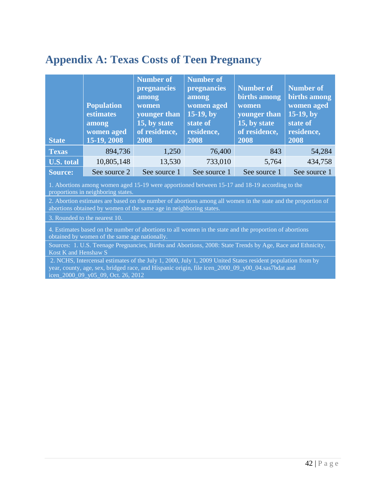# <span id="page-49-0"></span>**Appendix A: Texas Costs of Teen Pregnancy**

| <b>State</b>      | <b>Population</b><br>estimates<br>among<br>women aged<br>15-19, 2008 | <b>Number of</b><br>pregnancies<br>among<br>women<br>younger than<br>15, by state<br>of residence,<br>2008 | <b>Number of</b><br>pregnancies<br>among<br>women aged<br>$15-19$ , by<br>state of<br>residence,<br>2008 | <b>Number of</b><br>births among<br>women<br>younger than<br>15, by state<br>of residence,<br>2008 | <b>Number of</b><br>births among<br>women aged<br>$15-19$ , by<br>state of<br>residence,<br>2008 |
|-------------------|----------------------------------------------------------------------|------------------------------------------------------------------------------------------------------------|----------------------------------------------------------------------------------------------------------|----------------------------------------------------------------------------------------------------|--------------------------------------------------------------------------------------------------|
| <b>Texas</b>      | 894,736                                                              | 1,250                                                                                                      | 76,400                                                                                                   | 843                                                                                                | 54,284                                                                                           |
| <b>U.S. total</b> | 10,805,148                                                           | 13,530                                                                                                     | 733,010                                                                                                  | 5,764                                                                                              | 434,758                                                                                          |
| Source:           | See source 2                                                         | See source 1                                                                                               | See source 1                                                                                             | See source 1                                                                                       | See source 1                                                                                     |

1. Abortions among women aged 15-19 were apportioned between 15-17 and 18-19 according to the proportions in neighboring states.

2. Abortion estimates are based on the number of abortions among all women in the state and the proportion of abortions obtained by women of the same age in neighboring states.

3. Rounded to the nearest 10.

4. Estimates based on the number of abortions to all women in the state and the proportion of abortions obtained by women of the same age nationally.

Sources: 1. U.S. Teenage Pregnancies, Births and Abortions, 2008: State Trends by Age, Race and Ethnicity, Kost K and Henshaw S

2. NCHS, Intercensal estimates of the July 1, 2000, July 1, 2009 United States resident population from by year, county, age, sex, bridged race, and Hispanic origin, file icen\_2000\_09\_y00\_04.sas7bdat and icen\_2000\_09\_y05\_09, Oct. 26, 2012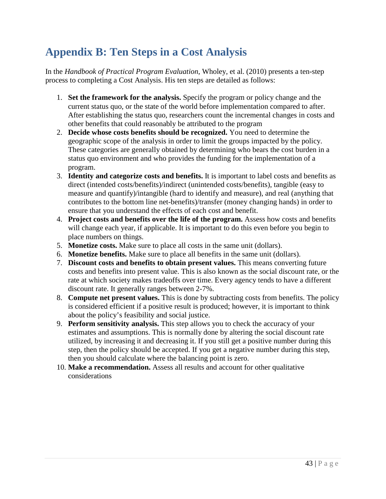# <span id="page-50-0"></span>**Appendix B: Ten Steps in a Cost Analysis**

In the *Handbook of Practical Program Evaluation*, Wholey, et al. (2010) presents a ten-step process to completing a Cost Analysis. His ten steps are detailed as follows:

- 1. **Set the framework for the analysis.** Specify the program or policy change and the current status quo, or the state of the world before implementation compared to after. After establishing the status quo, researchers count the incremental changes in costs and other benefits that could reasonably be attributed to the program
- 2. **Decide whose costs benefits should be recognized.** You need to determine the geographic scope of the analysis in order to limit the groups impacted by the policy. These categories are generally obtained by determining who bears the cost burden in a status quo environment and who provides the funding for the implementation of a program.
- 3. **Identity and categorize costs and benefits.** It is important to label costs and benefits as direct (intended costs/benefits)/indirect (unintended costs/benefits), tangible (easy to measure and quantify)/intangible (hard to identify and measure), and real (anything that contributes to the bottom line net-benefits)/transfer (money changing hands) in order to ensure that you understand the effects of each cost and benefit.
- 4. **Project costs and benefits over the life of the program.** Assess how costs and benefits will change each year, if applicable. It is important to do this even before you begin to place numbers on things.
- 5. **Monetize costs.** Make sure to place all costs in the same unit (dollars).
- 6. **Monetize benefits.** Make sure to place all benefits in the same unit (dollars).
- 7. **Discount costs and benefits to obtain present values.** This means converting future costs and benefits into present value. This is also known as the social discount rate, or the rate at which society makes tradeoffs over time. Every agency tends to have a different discount rate. It generally ranges between 2-7%.
- 8. **Compute net present values.** This is done by subtracting costs from benefits. The policy is considered efficient if a positive result is produced; however, it is important to think about the policy's feasibility and social justice.
- 9. **Perform sensitivity analysis.** This step allows you to check the accuracy of your estimates and assumptions. This is normally done by altering the social discount rate utilized, by increasing it and decreasing it. If you still get a positive number during this step, then the policy should be accepted. If you get a negative number during this step, then you should calculate where the balancing point is zero.
- 10. **Make a recommendation.** Assess all results and account for other qualitative considerations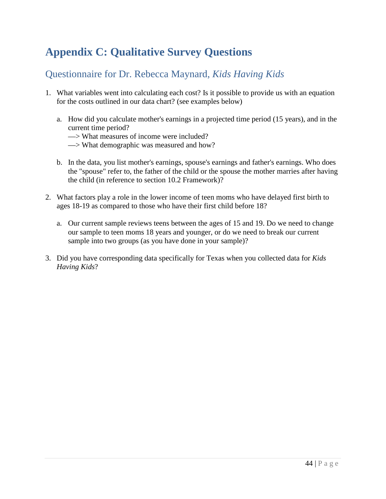# <span id="page-51-0"></span>**Appendix C: Qualitative Survey Questions**

### <span id="page-51-1"></span>Questionnaire for Dr. Rebecca Maynard, *Kids Having Kids*

- 1. What variables went into calculating each cost? Is it possible to provide us with an equation for the costs outlined in our data chart? (see examples below)
	- a. How did you calculate mother's earnings in a projected time period (15 years), and in the current time period?
		- —> What measures of income were included?
		- —> What demographic was measured and how?
	- b. In the data, you list mother's earnings, spouse's earnings and father's earnings. Who does the "spouse" refer to, the father of the child or the spouse the mother marries after having the child (in reference to section 10.2 Framework)?
- 2. What factors play a role in the lower income of teen moms who have delayed first birth to ages 18-19 as compared to those who have their first child before 18?
	- a. Our current sample reviews teens between the ages of 15 and 19. Do we need to change our sample to teen moms 18 years and younger, or do we need to break our current sample into two groups (as you have done in your sample)?
- 3. Did you have corresponding data specifically for Texas when you collected data for *Kids Having Kids*?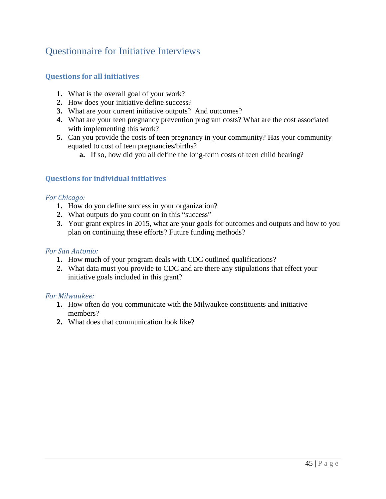### <span id="page-52-0"></span>Questionnaire for Initiative Interviews

### **Questions for all initiatives**

- **1.** What is the overall goal of your work?
- **2.** How does your initiative define success?
- **3.** What are your current initiative outputs? And outcomes?
- **4.** What are your teen pregnancy prevention program costs? What are the cost associated with implementing this work?
- **5.** Can you provide the costs of teen pregnancy in your community? Has your community equated to cost of teen pregnancies/births?
	- **a.** If so, how did you all define the long-term costs of teen child bearing?

### **Questions for individual initiatives**

#### *For Chicago:*

- **1.** How do you define success in your organization?
- **2.** What outputs do you count on in this "success"
- **3.** Your grant expires in 2015, what are your goals for outcomes and outputs and how to you plan on continuing these efforts? Future funding methods?

#### *For San Antonio:*

- **1.** How much of your program deals with CDC outlined qualifications?
- **2.** What data must you provide to CDC and are there any stipulations that effect your initiative goals included in this grant?

#### *For Milwaukee:*

- **1.** How often do you communicate with the Milwaukee constituents and initiative members?
- **2.** What does that communication look like?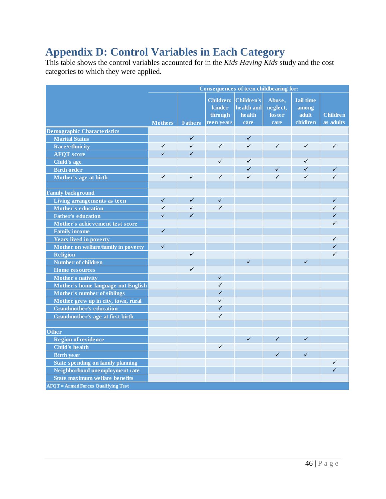# <span id="page-53-0"></span>**Appendix D: Control Variables in Each Category**

This table shows the control variables accounted for in the *Kids Having Kids* study and the cost categories to which they were applied.

|                                            | Consequences of teen childbearing for: |                |                  |                   |              |                  |                 |
|--------------------------------------------|----------------------------------------|----------------|------------------|-------------------|--------------|------------------|-----------------|
|                                            |                                        |                | <b>Children:</b> | <b>Children's</b> | Abuse,       | <b>Jail time</b> |                 |
|                                            |                                        |                | kinder           | health and        | neglect,     | among            |                 |
|                                            |                                        |                | through          | health            | foster       | adult            | <b>Children</b> |
|                                            | <b>Mothers</b>                         | <b>Fathers</b> | teen years       | care              | care         | chidlren         | as adults       |
| <b>Demographic Characteristics</b>         |                                        |                |                  |                   |              |                  |                 |
| <b>Marital Status</b>                      |                                        | ✓              |                  | ✓                 |              |                  |                 |
| <b>Race/ethnicity</b>                      | $\checkmark$                           | $\checkmark$   | $\checkmark$     | ✓                 | $\checkmark$ | $\checkmark$     | $\checkmark$    |
| <b>AFQT</b> score                          | $\checkmark$                           | $\checkmark$   |                  |                   |              |                  |                 |
| Child's age                                |                                        |                | $\checkmark$     | $\checkmark$      |              | $\checkmark$     |                 |
| <b>Birth order</b>                         |                                        |                |                  | $\checkmark$      | $\checkmark$ | $\checkmark$     | $\checkmark$    |
| Mother's age at birth                      | $\checkmark$                           | $\checkmark$   | $\checkmark$     | $\checkmark$      | $\checkmark$ | $\checkmark$     | $\checkmark$    |
|                                            |                                        |                |                  |                   |              |                  |                 |
| <b>Family background</b>                   |                                        |                |                  |                   |              |                  |                 |
| Living arrangements as teen                | $\checkmark$                           | $\checkmark$   | $\checkmark$     |                   |              |                  | $\checkmark$    |
| <b>Mother's education</b>                  | ✓                                      | $\checkmark$   | $\checkmark$     |                   |              |                  | ✓               |
| <b>Father's education</b>                  | $\checkmark$                           | $\checkmark$   |                  |                   |              |                  | $\checkmark$    |
| Mother's achievement test score            |                                        |                |                  |                   |              |                  | $\checkmark$    |
| <b>Family income</b>                       | $\checkmark$                           |                |                  |                   |              |                  |                 |
| <b>Years lived in poverty</b>              |                                        |                |                  |                   |              |                  | $\checkmark$    |
| Mother on welfare/family in poverty        | $\checkmark$                           |                |                  |                   |              |                  | $\checkmark$    |
| <b>Religion</b>                            |                                        | $\checkmark$   |                  |                   |              |                  | $\checkmark$    |
| Number of children                         |                                        |                |                  | $\checkmark$      |              | $\checkmark$     |                 |
| <b>Home</b> resources                      |                                        | $\checkmark$   |                  |                   |              |                  |                 |
| Mother's nativity                          |                                        |                | $\checkmark$     |                   |              |                  |                 |
| Mother's home language not English         |                                        |                | $\checkmark$     |                   |              |                  |                 |
| <b>Mother's number of siblings</b>         |                                        |                | $\checkmark$     |                   |              |                  |                 |
| Mother grew up in city, town, rural        |                                        |                | $\checkmark$     |                   |              |                  |                 |
| <b>Grandmother's education</b>             |                                        |                | $\checkmark$     |                   |              |                  |                 |
| Grandmother's age at first birth           |                                        |                | $\checkmark$     |                   |              |                  |                 |
|                                            |                                        |                |                  |                   |              |                  |                 |
| Other                                      |                                        |                |                  |                   |              |                  |                 |
| <b>Region of residence</b>                 |                                        |                |                  | $\checkmark$      | $\checkmark$ | $\checkmark$     |                 |
| <b>Child's health</b>                      |                                        |                | $\checkmark$     |                   |              |                  |                 |
| <b>Birth year</b>                          |                                        |                |                  |                   | $\checkmark$ | $\checkmark$     |                 |
| <b>State spending on family planning</b>   |                                        |                |                  |                   |              |                  | $\checkmark$    |
| Neighborhood unemployment rate             |                                        |                |                  |                   |              |                  | $\checkmark$    |
| <b>State maximum welfare benefits</b>      |                                        |                |                  |                   |              |                  |                 |
| <b>AFOT</b> = Armed Forces Qualifying Test |                                        |                |                  |                   |              |                  |                 |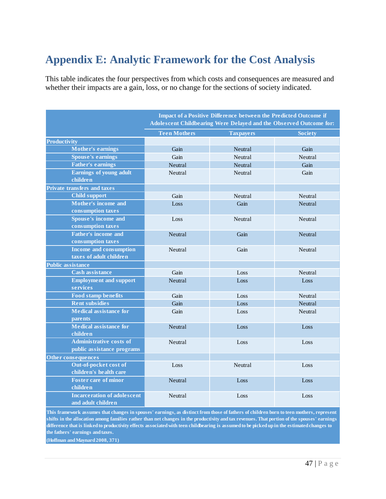# <span id="page-54-0"></span>**Appendix E: Analytic Framework for the Cost Analysis**

This table indicates the four perspectives from which costs and consequences are measured and whether their impacts are a gain, loss, or no change for the sections of society indicated.

|                                                              | Impact of a Positive Difference between the Predicted Outcome if<br>Adolescent Childbearing Were Delayed and the Observed Outcome for: |                  |                |  |
|--------------------------------------------------------------|----------------------------------------------------------------------------------------------------------------------------------------|------------------|----------------|--|
|                                                              | <b>Teen Mothers</b>                                                                                                                    | <b>Taxpayers</b> | <b>Society</b> |  |
| <b>Productivity</b>                                          |                                                                                                                                        |                  |                |  |
| <b>Mother's earnings</b>                                     | Gain                                                                                                                                   | <b>Neutral</b>   | Gain           |  |
| <b>Spouse's earnings</b>                                     | Gain                                                                                                                                   | Neutral          | Neutral        |  |
| <b>Father's earnings</b>                                     | Neutral                                                                                                                                | Neutral          | Gain           |  |
| <b>Earnings of young adult</b><br>children                   | Neutral                                                                                                                                | Neutral          | Gain           |  |
| <b>Private transfers and taxes</b>                           |                                                                                                                                        |                  |                |  |
| <b>Child support</b>                                         | Gain                                                                                                                                   | Neutral          | <b>Neutral</b> |  |
| Mother's income and<br>consumption taxes                     | Loss                                                                                                                                   | Gain             | Neutral        |  |
| <b>Spouse's income and</b><br>consumption taxes              | Loss                                                                                                                                   | Neutral          | Neutral        |  |
| <b>Father's income and</b><br>consumption taxes              | Neutral                                                                                                                                | Gain             | Neutral        |  |
| <b>Income and consumption</b><br>taxes of adult children     | Neutral                                                                                                                                | Gain             | Neutral        |  |
| <b>Public assistance</b>                                     |                                                                                                                                        |                  |                |  |
| <b>Cash assistance</b>                                       | Gain                                                                                                                                   | Loss             | Neutral        |  |
| <b>Employment and support</b><br>services                    | Neutral                                                                                                                                | Loss             | Loss           |  |
| <b>Food stamp benefits</b>                                   | Gain                                                                                                                                   | Loss             | <b>Neutral</b> |  |
| <b>Rent subsidies</b>                                        | Gain                                                                                                                                   | Loss             | Neutral        |  |
| <b>Medical assistance for</b><br><b>parents</b>              | Gain                                                                                                                                   | Loss             | Neutral        |  |
| <b>Medical assistance for</b><br>children                    | Neutral                                                                                                                                | Loss             | Loss           |  |
| <b>Administrative costs of</b><br>public assistance programs | Neutral                                                                                                                                | Loss             | Loss           |  |
| Other consequences                                           |                                                                                                                                        |                  |                |  |
| Out-of-pocket cost of<br>children's health care              | Loss                                                                                                                                   | Neutral          | Loss           |  |
| <b>Foster care of minor</b><br>children                      | Neutral                                                                                                                                | Loss             | Loss           |  |
| <b>Incarceration of adolescent</b><br>and adult children     | Neutral                                                                                                                                | Loss             | Loss           |  |

**This framework assumes that changes in spouses' earnings, as distinct from those of fathers of children born to teen mothers, represent shifts in the allocation among families rather than net changes in the productivity and tax revenues. That portion of the spouses' earnings difference that is linked to productivity effects associated with teen childbearing is assumed to be picked up in the estimated changes to the fathers' earnings and taxes.**

**(Hoffman and Maynard 2008, 371)**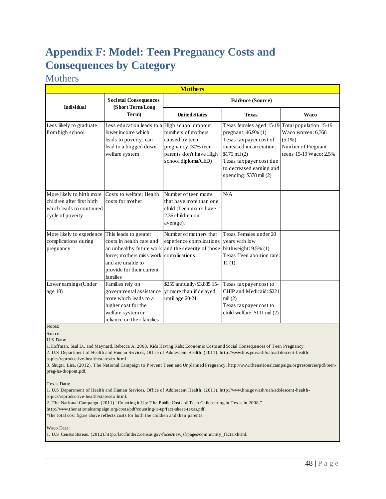# <span id="page-55-0"></span>**Appendix F: Model: Teen Pregnancy Costs and Consequences by Category**

### <span id="page-55-1"></span>**Mothers**

| <b>Mothers</b>                                                                                          |                                                                                                                                                                                                                  |                                                                                                               |                                                                                                                                                                                                             |                                                                                                          |  |
|---------------------------------------------------------------------------------------------------------|------------------------------------------------------------------------------------------------------------------------------------------------------------------------------------------------------------------|---------------------------------------------------------------------------------------------------------------|-------------------------------------------------------------------------------------------------------------------------------------------------------------------------------------------------------------|----------------------------------------------------------------------------------------------------------|--|
| <b>Individual</b>                                                                                       | <b>Societal Consequences</b><br>(Short Term/Long                                                                                                                                                                 | Evidence (Source)                                                                                             |                                                                                                                                                                                                             |                                                                                                          |  |
|                                                                                                         | Term)                                                                                                                                                                                                            | <b>United States</b>                                                                                          | <b>Texas</b>                                                                                                                                                                                                | <b>Waco</b>                                                                                              |  |
| Less likely to graduate<br>from high school                                                             | Less education leads to a High school dropout<br>lower income which<br>leads to poverty; can<br>lead to a bogged down<br>welfare system                                                                          | numbers of mothers<br>caused by teen<br>pregnancy (30% teen<br>parents don't have High<br>school diploma/GED) | Texas females aged 15-19<br>pregnant: 46.9% (1)<br>Texas tax payer cost of<br>increased incarceration:<br>$$175$ mil (2)<br>Texas tax payer cost due<br>to decreased earning and<br>spending: \$378 mil (2) | Total population 15-19<br>Waco women: 6,366<br>$(5.1\%)$<br>Number of Pregnant<br>teens 15-19 Waco: 2.5% |  |
| More likely to birth more<br>children after first birth<br>which leads to continued<br>cycle of poverty | Costs to welfare; Health<br>costs for mother                                                                                                                                                                     | Number of teen moms<br>that have more than one<br>child (Teen moms have<br>2.36 children on<br>average).      | N/A                                                                                                                                                                                                         |                                                                                                          |  |
| More likely to experience<br>complications during<br>pregnancy                                          | This leads to greater<br>costs in health care and<br>an unhealthy future work and the severity of those<br>force; mothers miss work complications.<br>and are unable to<br>provide for their current<br>families | Number of mothers that<br>experience complications                                                            | Texas Females under 20<br>years with low<br>birthweight: 9.5% (1)<br>Texas Teen abortion rate:<br>11(1)                                                                                                     |                                                                                                          |  |
| Lower earnings (Under<br>age 18)                                                                        | Families rely on<br>governmental assistance<br>more which leads to a<br>higher cost for the<br>welfare system or<br>reliance on their families                                                                   | \$259 annually/\$3,885 15-<br>yr more than if delayed<br>until age 20-21                                      | Texas tax payer cost to<br>CHIP and Medicaid: \$221<br>mil(2)<br>Texas tax payer cost to<br>child welfare: \$111 mil (2)                                                                                    |                                                                                                          |  |

Notes:

Source:

U.S. Data:

1.Hoffman, Saul D., and Maynard, Rebecca A. 2008. Kids Having Kids: Economic Costs and Social Consequences of Teen Pregnancy 2. U.S. Department of Health and Human Services, Office of Adolescent Health. (2011). http://www.hhs.gov/ash/oah/adolescent-healthtopics/reproductive-health/states/tx.html.

3. Shuger, Lisa. (2012). The National Campaign to Prevent Teen and Unplanned Pregnancy. http://www.thenationalcampaign.org/resources/pdf/teenpreg-hs-dropout.pdf.

Texas Data:

1. U.S. Department of Health and Human Services, Office of Adolescent Health. (2011). http://www.hhs.gov/ash/oah/adolescent-healthtopics/reproductive-health/states/tx.html.

2. The National Campaign. (2011) "Counting it Up: The Public Costs of Teen Childbearing in Texas in 2008."

http://www.thenationalcampaign.org/costs/pdf/counting-it-up/fact-sheet-texas.pdf.

\*the total cost figure above reflects costs for both the children and their parents

Waco Data:

1. U.S. Census Bureau. (2012).http://factfinder2.census.gov/faces/nav/jsf/pages/community\_facts.xhtml.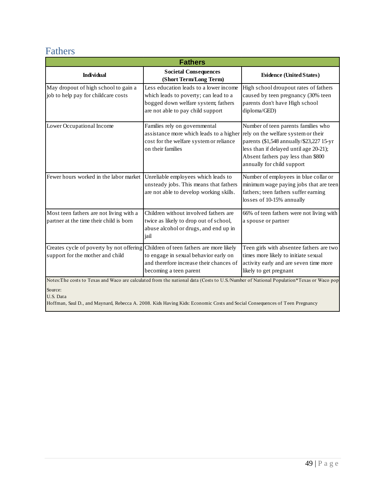### <span id="page-56-0"></span>Fathers

| <b>Fathers</b>                                                                                                        |                                                                                                                                                             |                                                                                                                                                                                                                                      |  |  |
|-----------------------------------------------------------------------------------------------------------------------|-------------------------------------------------------------------------------------------------------------------------------------------------------------|--------------------------------------------------------------------------------------------------------------------------------------------------------------------------------------------------------------------------------------|--|--|
| <b>Individual</b>                                                                                                     | <b>Societal Consequences</b><br>(Short Term/Long Term)                                                                                                      | <b>Evidence (United States)</b>                                                                                                                                                                                                      |  |  |
| May dropout of high school to gain a<br>job to help pay for childcare costs                                           | Less education leads to a lower income<br>which leads to poverty; can lead to a<br>bogged down welfare system; fathers<br>are not able to pay child support | High school droupout rates of fathers<br>caused by teen pregnancy (30% teen<br>parents don't have High school<br>diploma/GED)                                                                                                        |  |  |
| Lower Occupational Income                                                                                             | Families rely on governmental<br>assistance more which leads to a higher<br>cost for the welfare system or reliance<br>on their families                    | Number of teen parents families who<br>rely on the welfare system or their<br>parents (\$1,548 annually/\$23,227 15-yr<br>less than if delayed until age 20-21);<br>Absent fathers pay less than \$800<br>annually for child support |  |  |
| Fewer hours worked in the labor market                                                                                | Unreliable employees which leads to<br>unsteady jobs. This means that fathers<br>are not able to develop working skills.                                    | Number of employees in blue collar or<br>minimum wage paying jobs that are teen<br>fathers; teen fathers suffer earning<br>losses of 10-15% annually                                                                                 |  |  |
| Most teen fathers are not living with a<br>partner at the time their child is born                                    | Children without involved fathers are<br>twice as likely to drop out of school,<br>abuse alcohol or drugs, and end up in<br>jail                            | 66% of teen fathers were not living with<br>a spouse or partner                                                                                                                                                                      |  |  |
| Creates cycle of poverty by not offering Children of teen fathers are more likely<br>support for the mother and child | to engage in sexual behavior early on<br>and therefore increase their chances of<br>becoming a teen parent                                                  | Teen girls with absentee fathers are two<br>times more likely to initiate sexual<br>activity early and are seven time more<br>likely to get pregnant                                                                                 |  |  |
| Source:                                                                                                               |                                                                                                                                                             | Notes: The costs to Texas and Waco are calculated from the national data (Costs to U.S./Number of National Population*Texas or Waco pop                                                                                              |  |  |

U.S. Data

Hoffman, Saul D., and Maynard, Rebecca A. 2008. Kids Having Kids: Economic Costs and Social Consequences of Teen Pregnancy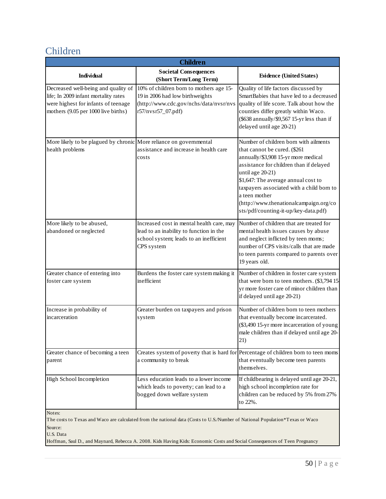### <span id="page-57-0"></span>Children

| <b>Children</b>                                                                                                                                           |                                                                                                                                              |                                                                                                                                                                                                                                                                                                                                                                    |  |  |
|-----------------------------------------------------------------------------------------------------------------------------------------------------------|----------------------------------------------------------------------------------------------------------------------------------------------|--------------------------------------------------------------------------------------------------------------------------------------------------------------------------------------------------------------------------------------------------------------------------------------------------------------------------------------------------------------------|--|--|
| <b>Individual</b>                                                                                                                                         | <b>Societal Consequences</b><br>(Short Term/Long Term)                                                                                       | <b>Evidence (United States)</b>                                                                                                                                                                                                                                                                                                                                    |  |  |
| Decreased well-being and quality of<br>life; In 2009 infant mortality rates<br>were highest for infants of teenage<br>mothers (9.05 per 1000 live births) | 10% of children born to mothers age 15-<br>19 in 2006 had low birthweights<br>(http://www.cdc.gov/nchs/data/nvsr/nvs<br>r57/nvsr57_07.pdf)   | Quality of life factors discussed by<br>SmartBabies that have led to a decreased<br>quality of life score. Talk about how the<br>counties differ greatly within Waco.<br>(\$638 annually/\$9,567 15-yr less than if<br>delayed until age 20-21)                                                                                                                    |  |  |
| More likely to be plagued by chronic More reliance on governmental<br>health problems                                                                     | assistance and increase in health care<br>costs                                                                                              | Number of children born with ailments<br>that cannot be cured. (\$261<br>annually/\$3,908 15-yr more medical<br>assistance for children than if delayed<br>until age 20-21)<br>\$1,647: The average annual cost to<br>taxpayers associated with a child born to<br>a teen mother<br>(http://www.thenationalcampaign.org/co<br>sts/pdf/counting-it-up/key-data.pdf) |  |  |
| More likely to be abused,<br>abandoned or neglected                                                                                                       | Increased cost in mental health care, may<br>lead to an inability to function in the<br>school system; leads to an inefficient<br>CPS system | Number of children that are treated for<br>mental health issues causes by abuse<br>and neglect inflicted by teen moms;<br>number of CPS visits/calls that are made<br>to teen parents compared to parents over<br>19 years old.                                                                                                                                    |  |  |
| Greater chance of entering into<br>foster care system                                                                                                     | Burdens the foster care system making it<br>inefficient                                                                                      | Number of children in foster care system<br>that were born to teen mothers. (\$3,794 15<br>yr more foster care of minor children than<br>if delayed until age 20-21)                                                                                                                                                                                               |  |  |
| Increase in probability of<br>incarceration                                                                                                               | Greater burden on taxpayers and prison<br>system                                                                                             | Number of children born to teen mothers<br>that eventually become incarcerated.<br>(\$3,490 15-yr more incarceration of young<br>male children than if delayed until age 20-<br>21)                                                                                                                                                                                |  |  |
| Greater chance of becoming a teen<br>parent                                                                                                               | a community to break                                                                                                                         | Creates system of poverty that is hard for Percentage of children born to teen moms<br>that eventually become teen parents<br>themselves.                                                                                                                                                                                                                          |  |  |
| High School Incompletion                                                                                                                                  | Less education leads to a lower income<br>which leads to poverty; can lead to a<br>bogged down welfare system                                | If childbearing is delayed until age 20-21,<br>high school incompletion rate for<br>children can be reduced by 5% from 27%<br>to 22%.                                                                                                                                                                                                                              |  |  |
| Notes:                                                                                                                                                    |                                                                                                                                              |                                                                                                                                                                                                                                                                                                                                                                    |  |  |

Source: The costs to Texas and Waco are calculated from the national data (Costs to U.S./Number of National Population\*Texas or Waco

U.S. Data

Hoffman, Saul D., and Maynard, Rebecca A. 2008. Kids Having Kids: Economic Costs and Social Consequences of Teen Pregnancy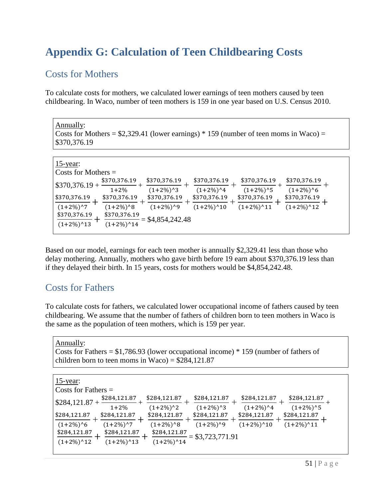# <span id="page-58-0"></span>**Appendix G: Calculation of Teen Childbearing Costs**

### <span id="page-58-1"></span>Costs for Mothers

To calculate costs for mothers, we calculated lower earnings of teen mothers caused by teen childbearing. In Waco, number of teen mothers is 159 in one year based on U.S. Census 2010.

Annually: Costs for Mothers =  $$2,329.41$  (lower earnings) \* 159 (number of teen moms in Waco) = \$370,376.19

| $15$ -year:                                                     |                                                                   |                                                |                                         |                                          |                                        |
|-----------------------------------------------------------------|-------------------------------------------------------------------|------------------------------------------------|-----------------------------------------|------------------------------------------|----------------------------------------|
| Costs for Mothers $=$                                           |                                                                   |                                                |                                         |                                          |                                        |
| $$370,376.19+$                                                  | \$370,376.19<br>$1 + 2\%$                                         | \$370,376.19<br>$(1+2\%)$ <sup>^3</sup>        | \$370,376.19<br>$(1+2\%)$ <sup>^4</sup> | \$370,376.19<br>$(1+2\%)$ <sup>^</sup> 5 | \$370,376.19<br>$(1+2\%)$ <sup>6</sup> |
| \$370,376.19                                                    | \$370,376.19                                                      | \$370,376.19                                   | \$370,376.19                            | \$370,376.19                             | \$370,376.19                           |
|                                                                 |                                                                   |                                                |                                         |                                          |                                        |
|                                                                 |                                                                   |                                                |                                         |                                          |                                        |
|                                                                 |                                                                   |                                                |                                         |                                          |                                        |
|                                                                 |                                                                   |                                                |                                         |                                          |                                        |
| $(1+2\%)$ <sup>^7</sup><br>\$370,376.19<br>$(1+2\%)^{\wedge}13$ | $(1+2\%)$ <sup>8</sup><br>\$370,376.19<br>$(1+2\%)$ <sup>14</sup> | $(1+2\%)$ <sup>0</sup> 9<br>$=$ \$4,854,242.48 | $(1+2\%)$ <sup>^</sup> 10               | $(1+2\%)^{\wedge}11$                     | $(1+2\%)^{\wedge}12$                   |

Based on our model, earnings for each teen mother is annually \$2,329.41 less than those who delay mothering. Annually, mothers who gave birth before 19 earn about \$370,376.19 less than if they delayed their birth. In 15 years, costs for mothers would be \$4,854,242.48.

### <span id="page-58-2"></span>Costs for Fathers

To calculate costs for fathers, we calculated lower occupational income of fathers caused by teen childbearing. We assume that the number of fathers of children born to teen mothers in Waco is the same as the population of teen mothers, which is 159 per year.

Annually: Costs for Fathers =  $$1,786.93$  (lower occupational income)  $*$  159 (number of fathers of children born to teen moms in Waco) =  $$284,121.87$ 

| $15$ -year:<br>$\vert$ Costs for Fathers $=$                                                                                                                           |                                                                                                                                                                                                                                               |  |
|------------------------------------------------------------------------------------------------------------------------------------------------------------------------|-----------------------------------------------------------------------------------------------------------------------------------------------------------------------------------------------------------------------------------------------|--|
| \$284,121.87<br>$$284,121.87+$<br>$1+2\%$                                                                                                                              | \$284,121.87<br>\$284,121.87<br>\$284,121.87<br>\$284,121.87<br>$(1+2\%)$ <sup>^</sup> 5<br>$(1+2\%)$ <sup>^2</sup><br>$(1+2\%)$ <sup>^4</sup><br>$(1+2\%)$ <sup>^3</sup>                                                                     |  |
| \$284,121.87<br>\$284,121.87<br>$(1+2\%)$ <sup>^7</sup><br>$(1+2\%)$ <sup>6</sup><br>\$284,121.87<br>\$284,121.87<br>$(1+2\%)^{\wedge}12$<br>$(1+2\%)$ <sup>^</sup> 13 | \$284,121.87<br>\$284,121.87<br>\$284,121.87<br>\$284,121.87<br>$(1+2\%)$ <sup>^</sup> 11<br>$(1+2\%)$ <sup>^9</sup><br>$(1+2\%)$ <sup>^</sup> 10<br>$(1+2\%)$ <sup>8</sup><br>\$284,121.87<br>$= $3,723,771.91$<br>$(1+2\%)$ <sup>^</sup> 14 |  |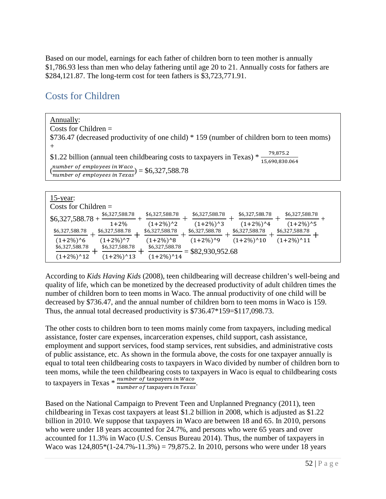Based on our model, earnings for each father of children born to teen mother is annually \$1,786.93 less than men who delay fathering until age 20 to 21. Annually costs for fathers are \$284,121.87. The long-term cost for teen fathers is \$3,723,771.91.

### <span id="page-59-0"></span>Costs for Children

Annually: Costs for Children = \$736.47 (decreased productivity of one child) \* 159 (number of children born to teen moms) + \$1.22 billion (annual teen childbearing costs to taxpayers in Texas)  $*\frac{79,875.2}{15,690,830.064}$  $\binom{number\ of\ employees\ in\ Waco}{number\ of\ employees\ in\ Texas} = \$6,327,588.78$ 

| $15$ -year:                                                                                                                                                                                                                                                                                                                                    |  |
|------------------------------------------------------------------------------------------------------------------------------------------------------------------------------------------------------------------------------------------------------------------------------------------------------------------------------------------------|--|
| Costs for Children $=$                                                                                                                                                                                                                                                                                                                         |  |
| \$6,327,588.78<br>\$6,327,588.78<br>\$6,327,588.78<br>\$6,327,588.78<br>\$6,327,588.78<br>$$6,327,588.78+$<br>$(1+2\%)$ <sup>^</sup> 5<br>$(1+2\%)$ <sup>^4</sup><br>$(1+2\%)$ <sup>^2</sup><br>$(1+2\%)$ <sup>^</sup> 3<br>$1+2%$<br>\$6,327,588.78<br>\$6,327,588.78<br>\$6,327,588.78<br>\$6,327,588.78<br>\$6,327,588.78<br>\$6,327,588.78 |  |
| $(1+2\%)$ <sup>^</sup> 11<br>$(1+2\%)$ <sup>^7</sup><br>$(1+2\%)$ <sup>8</sup><br>$(1+2\%)$ <sup>1</sup> 9<br>$(1+2\%)$ <sup>^</sup> 10<br>$(1+2\%)$ <sup>6</sup><br>\$6,327,588.78<br>\$6,327,588.78<br>\$6,327,588.78<br>$=$ \$82,930,952.68<br>$(1+2\%)^{\wedge}14$<br>$(1+2\%)$ <sup>^</sup> 12<br>$(1+2\%)$ <sup>13</sup>                 |  |

According to *Kids Having Kids* (2008), teen childbearing will decrease children's well-being and quality of life, which can be monetized by the decreased productivity of adult children times the number of children born to teen moms in Waco. The annual productivity of one child will be decreased by \$736.47, and the annual number of children born to teen moms in Waco is 159. Thus, the annual total decreased productivity is \$736.47\*159=\$117,098.73.

The other costs to children born to teen moms mainly come from taxpayers, including medical assistance, foster care expenses, incarceration expenses, child support, cash assistance, employment and support services, food stamp services, rent subsidies, and administrative costs of public assistance, etc. As shown in the formula above, the costs for one taxpayer annually is equal to total teen childbearing costs to taxpayers in Waco divided by number of children born to teen moms, while the teen childbearing costs to taxpayers in Waco is equal to childbearing costs to taxpayers in Texas  $*$   $\frac{number\; of\; tanyers\; in\; Waco}{number\; of\; tanyovers\; in\; Texas}.$ 

Based on the National Campaign to Prevent Teen and Unplanned Pregnancy (2011), teen childbearing in Texas cost taxpayers at least \$1.2 billion in 2008, which is adjusted as \$1.22 billion in 2010. We suppose that taxpayers in Waco are between 18 and 65. In 2010, persons who were under 18 years accounted for 24.7%, and persons who were 65 years and over accounted for 11.3% in Waco (U.S. Census Bureau 2014). Thus, the number of taxpayers in Waco was  $124,805*(1-24.7\% -11.3\%) = 79,875.2$ . In 2010, persons who were under 18 years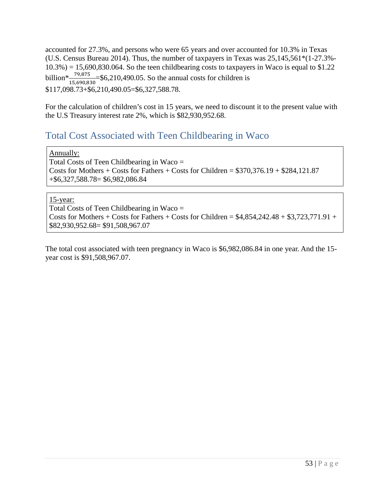accounted for 27.3%, and persons who were 65 years and over accounted for 10.3% in Texas (U.S. Census Bureau 2014). Thus, the number of taxpayers in Texas was 25,145,561\*(1-27.3%-  $10.3\% = 15,690,830.064$ . So the teen childbearing costs to taxpayers in Waco is equal to \$1.22 billion<sup>\*</sup> $\frac{79,875}{15,690,830}$ =\$6,210,490.05. So the annual costs for children is \$117,098.73+\$6,210,490.05=\$6,327,588.78.

For the calculation of children's cost in 15 years, we need to discount it to the present value with the U.S Treasury interest rate 2%, which is \$82,930,952.68.

### <span id="page-60-0"></span>Total Cost Associated with Teen Childbearing in Waco

Annually:

Total Costs of Teen Childbearing in Waco = Costs for Mothers + Costs for Fathers + Costs for Children =  $$370,376.19 + $284,121.87$ +\$6,327,588.78= \$6,982,086.84

#### 15-year:

Total Costs of Teen Childbearing in Waco = Costs for Mothers + Costs for Fathers + Costs for Children =  $$4,854,242.48 + $3,723,771.91 +$ \$82,930,952.68= \$91,508,967.07

The total cost associated with teen pregnancy in Waco is \$6,982,086.84 in one year. And the 15 year cost is \$91,508,967.07.